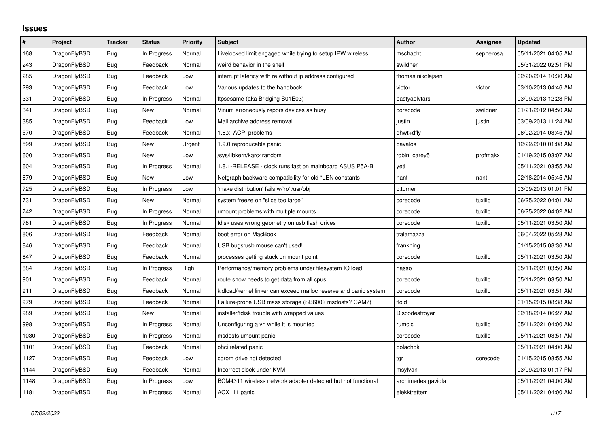## **Issues**

| $\vert$ # | Project      | <b>Tracker</b> | <b>Status</b> | <b>Priority</b> | <b>Subject</b>                                                   | <b>Author</b>      | <b>Assignee</b> | <b>Updated</b>      |
|-----------|--------------|----------------|---------------|-----------------|------------------------------------------------------------------|--------------------|-----------------|---------------------|
| 168       | DragonFlyBSD | Bug            | In Progress   | Normal          | Livelocked limit engaged while trying to setup IPW wireless      | mschacht           | sepherosa       | 05/11/2021 04:05 AM |
| 243       | DragonFlyBSD | <b>Bug</b>     | Feedback      | Normal          | weird behavior in the shell                                      | swildner           |                 | 05/31/2022 02:51 PM |
| 285       | DragonFlyBSD | Bug            | Feedback      | Low             | interrupt latency with re without ip address configured          | thomas.nikolajsen  |                 | 02/20/2014 10:30 AM |
| 293       | DragonFlyBSD | Bug            | Feedback      | Low             | Various updates to the handbook                                  | victor             | victor          | 03/10/2013 04:46 AM |
| 331       | DragonFlyBSD | <b>Bug</b>     | In Progress   | Normal          | ftpsesame (aka Bridging S01E03)                                  | bastyaelvtars      |                 | 03/09/2013 12:28 PM |
| 341       | DragonFlyBSD | Bug            | New           | Normal          | Vinum erroneously repors devices as busy                         | corecode           | swildner        | 01/21/2012 04:50 AM |
| 385       | DragonFlyBSD | Bug            | Feedback      | Low             | Mail archive address removal                                     | justin             | justin          | 03/09/2013 11:24 AM |
| 570       | DragonFlyBSD | Bug            | Feedback      | Normal          | 1.8.x: ACPI problems                                             | qhwt+dfly          |                 | 06/02/2014 03:45 AM |
| 599       | DragonFlyBSD | <b>Bug</b>     | New           | Urgent          | 1.9.0 reproducable panic                                         | pavalos            |                 | 12/22/2010 01:08 AM |
| 600       | DragonFlyBSD | <b>Bug</b>     | <b>New</b>    | Low             | /sys/libkern/karc4random                                         | robin_carey5       | profmakx        | 01/19/2015 03:07 AM |
| 604       | DragonFlyBSD | Bug            | In Progress   | Normal          | 1.8.1-RELEASE - clock runs fast on mainboard ASUS P5A-B          | yeti               |                 | 05/11/2021 03:55 AM |
| 679       | DragonFlyBSD | <b>Bug</b>     | <b>New</b>    | Low             | Netgraph backward compatibility for old *LEN constants           | nant               | nant            | 02/18/2014 05:45 AM |
| 725       | DragonFlyBSD | Bug            | In Progress   | Low             | 'make distribution' fails w/'ro' /usr/obj                        | c.turner           |                 | 03/09/2013 01:01 PM |
| 731       | DragonFlyBSD | <b>Bug</b>     | New           | Normal          | system freeze on "slice too large"                               | corecode           | tuxillo         | 06/25/2022 04:01 AM |
| 742       | DragonFlyBSD | <b>Bug</b>     | In Progress   | Normal          | umount problems with multiple mounts                             | corecode           | tuxillo         | 06/25/2022 04:02 AM |
| 781       | DragonFlyBSD | Bug            | In Progress   | Normal          | fdisk uses wrong geometry on usb flash drives                    | corecode           | tuxillo         | 05/11/2021 03:50 AM |
| 806       | DragonFlyBSD | Bug            | Feedback      | Normal          | boot error on MacBook                                            | tralamazza         |                 | 06/04/2022 05:28 AM |
| 846       | DragonFlyBSD | <b>Bug</b>     | Feedback      | Normal          | USB bugs:usb mouse can't used!                                   | frankning          |                 | 01/15/2015 08:36 AM |
| 847       | DragonFlyBSD | Bug            | Feedback      | Normal          | processes getting stuck on mount point                           | corecode           | tuxillo         | 05/11/2021 03:50 AM |
| 884       | DragonFlyBSD | <b>Bug</b>     | In Progress   | High            | Performance/memory problems under filesystem IO load             | hasso              |                 | 05/11/2021 03:50 AM |
| 901       | DragonFlyBSD | <b>Bug</b>     | Feedback      | Normal          | route show needs to get data from all cpus                       | corecode           | tuxillo         | 05/11/2021 03:50 AM |
| 911       | DragonFlyBSD | <b>Bug</b>     | Feedback      | Normal          | kldload/kernel linker can exceed malloc reserve and panic system | corecode           | tuxillo         | 05/11/2021 03:51 AM |
| 979       | DragonFlyBSD | <b>Bug</b>     | Feedback      | Normal          | Failure-prone USB mass storage (SB600? msdosfs? CAM?)            | floid              |                 | 01/15/2015 08:38 AM |
| 989       | DragonFlyBSD | Bug            | New           | Normal          | installer/fdisk trouble with wrapped values                      | Discodestroyer     |                 | 02/18/2014 06:27 AM |
| 998       | DragonFlyBSD | Bug            | In Progress   | Normal          | Unconfiguring a vn while it is mounted                           | rumcic             | tuxillo         | 05/11/2021 04:00 AM |
| 1030      | DragonFlyBSD | Bug            | In Progress   | Normal          | msdosfs umount panic                                             | corecode           | tuxillo         | 05/11/2021 03:51 AM |
| 1101      | DragonFlyBSD | <b>Bug</b>     | Feedback      | Normal          | ohci related panic                                               | polachok           |                 | 05/11/2021 04:00 AM |
| 1127      | DragonFlyBSD | <b>Bug</b>     | Feedback      | Low             | cdrom drive not detected                                         | tgr                | corecode        | 01/15/2015 08:55 AM |
| 1144      | DragonFlyBSD | <b>Bug</b>     | Feedback      | Normal          | Incorrect clock under KVM                                        | msylvan            |                 | 03/09/2013 01:17 PM |
| 1148      | DragonFlyBSD | Bug            | In Progress   | Low             | BCM4311 wireless network adapter detected but not functional     | archimedes.gaviola |                 | 05/11/2021 04:00 AM |
| 1181      | DragonFlyBSD | <b>Bug</b>     | In Progress   | Normal          | ACX111 panic                                                     | elekktretterr      |                 | 05/11/2021 04:00 AM |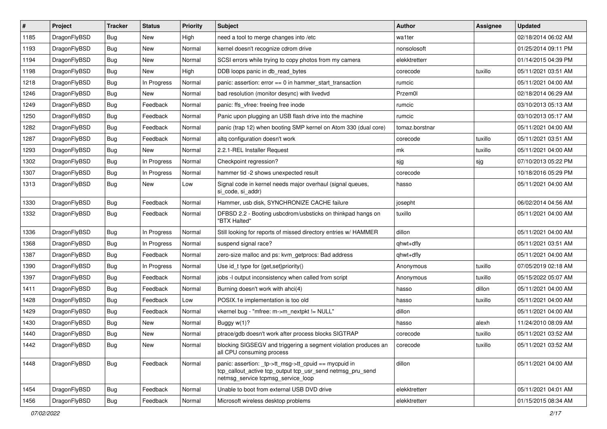| $\vert$ # | Project      | <b>Tracker</b> | <b>Status</b> | <b>Priority</b> | <b>Subject</b>                                                                                                                                            | <b>Author</b>  | <b>Assignee</b> | <b>Updated</b>      |
|-----------|--------------|----------------|---------------|-----------------|-----------------------------------------------------------------------------------------------------------------------------------------------------------|----------------|-----------------|---------------------|
| 1185      | DragonFlyBSD | Bug            | New           | High            | need a tool to merge changes into /etc                                                                                                                    | wa1ter         |                 | 02/18/2014 06:02 AM |
| 1193      | DragonFlyBSD | <b>Bug</b>     | <b>New</b>    | Normal          | kernel doesn't recognize cdrom drive                                                                                                                      | nonsolosoft    |                 | 01/25/2014 09:11 PM |
| 1194      | DragonFlyBSD | <b>Bug</b>     | New           | Normal          | SCSI errors while trying to copy photos from my camera                                                                                                    | elekktretterr  |                 | 01/14/2015 04:39 PM |
| 1198      | DragonFlyBSD | <b>Bug</b>     | New           | High            | DDB loops panic in db_read_bytes                                                                                                                          | corecode       | tuxillo         | 05/11/2021 03:51 AM |
| 1218      | DragonFlyBSD | <b>Bug</b>     | In Progress   | Normal          | panic: assertion: $error == 0$ in hammer start transaction                                                                                                | rumcic         |                 | 05/11/2021 04:00 AM |
| 1246      | DragonFlyBSD | <b>Bug</b>     | New           | Normal          | bad resolution (monitor desync) with livedvd                                                                                                              | Przem0l        |                 | 02/18/2014 06:29 AM |
| 1249      | DragonFlyBSD | <b>Bug</b>     | Feedback      | Normal          | panic: ffs vfree: freeing free inode                                                                                                                      | rumcic         |                 | 03/10/2013 05:13 AM |
| 1250      | DragonFlyBSD | <b>Bug</b>     | Feedback      | Normal          | Panic upon plugging an USB flash drive into the machine                                                                                                   | rumcic         |                 | 03/10/2013 05:17 AM |
| 1282      | DragonFlyBSD | <b>Bug</b>     | Feedback      | Normal          | panic (trap 12) when booting SMP kernel on Atom 330 (dual core)                                                                                           | tomaz.borstnar |                 | 05/11/2021 04:00 AM |
| 1287      | DragonFlyBSD | <b>Bug</b>     | Feedback      | Normal          | altq configuration doesn't work                                                                                                                           | corecode       | tuxillo         | 05/11/2021 03:51 AM |
| 1293      | DragonFlyBSD | <b>Bug</b>     | New           | Normal          | 2.2.1-REL Installer Request                                                                                                                               | mk             | tuxillo         | 05/11/2021 04:00 AM |
| 1302      | DragonFlyBSD | <b>Bug</b>     | In Progress   | Normal          | Checkpoint regression?                                                                                                                                    | sjg            | sjg             | 07/10/2013 05:22 PM |
| 1307      | DragonFlyBSD | <b>Bug</b>     | In Progress   | Normal          | hammer tid -2 shows unexpected result                                                                                                                     | corecode       |                 | 10/18/2016 05:29 PM |
| 1313      | DragonFlyBSD | <b>Bug</b>     | New           | Low             | Signal code in kernel needs major overhaul (signal queues,<br>si_code, si_addr)                                                                           | hasso          |                 | 05/11/2021 04:00 AM |
| 1330      | DragonFlyBSD | <b>Bug</b>     | Feedback      | Normal          | Hammer, usb disk, SYNCHRONIZE CACHE failure                                                                                                               | josepht        |                 | 06/02/2014 04:56 AM |
| 1332      | DragonFlyBSD | <b>Bug</b>     | Feedback      | Normal          | DFBSD 2.2 - Booting usbcdrom/usbsticks on thinkpad hangs on<br>"BTX Halted"                                                                               | tuxillo        |                 | 05/11/2021 04:00 AM |
| 1336      | DragonFlyBSD | <b>Bug</b>     | In Progress   | Normal          | Still looking for reports of missed directory entries w/ HAMMER                                                                                           | dillon         |                 | 05/11/2021 04:00 AM |
| 1368      | DragonFlyBSD | <b>Bug</b>     | In Progress   | Normal          | suspend signal race?                                                                                                                                      | qhwt+dfly      |                 | 05/11/2021 03:51 AM |
| 1387      | DragonFlyBSD | <b>Bug</b>     | Feedback      | Normal          | zero-size malloc and ps: kvm_getprocs: Bad address                                                                                                        | qhwt+dfly      |                 | 05/11/2021 04:00 AM |
| 1390      | DragonFlyBSD | <b>Bug</b>     | In Progress   | Normal          | Use id_t type for {get,set}priority()                                                                                                                     | Anonymous      | tuxillo         | 07/05/2019 02:18 AM |
| 1397      | DragonFlyBSD | <b>Bug</b>     | Feedback      | Normal          | jobs -I output inconsistency when called from script                                                                                                      | Anonymous      | tuxillo         | 05/15/2022 05:07 AM |
| 1411      | DragonFlyBSD | <b>Bug</b>     | Feedback      | Normal          | Burning doesn't work with ahci(4)                                                                                                                         | hasso          | dillon          | 05/11/2021 04:00 AM |
| 1428      | DragonFlyBSD | <b>Bug</b>     | Feedback      | Low             | POSIX.1e implementation is too old                                                                                                                        | hasso          | tuxillo         | 05/11/2021 04:00 AM |
| 1429      | DragonFlyBSD | <b>Bug</b>     | Feedback      | Normal          | vkernel bug - "mfree: m->m_nextpkt != NULL"                                                                                                               | dillon         |                 | 05/11/2021 04:00 AM |
| 1430      | DragonFlyBSD | <b>Bug</b>     | New           | Normal          | Buggy $w(1)$ ?                                                                                                                                            | hasso          | alexh           | 11/24/2010 08:09 AM |
| 1440      | DragonFlyBSD | <b>Bug</b>     | New           | Normal          | ptrace/gdb doesn't work after process blocks SIGTRAP                                                                                                      | corecode       | tuxillo         | 05/11/2021 03:52 AM |
| 1442      | DragonFlyBSD | <b>Bug</b>     | New           | Normal          | blocking SIGSEGV and triggering a segment violation produces an<br>all CPU consuming process                                                              | corecode       | tuxillo         | 05/11/2021 03:52 AM |
| 1448      | DragonFlyBSD | <b>Bug</b>     | Feedback      | Normal          | panic: assertion: _tp->tt_msg->tt_cpuid == mycpuid in<br>tcp_callout_active tcp_output tcp_usr_send netmsg_pru_send<br>netmsg_service tcpmsg_service_loop | dillon         |                 | 05/11/2021 04:00 AM |
| 1454      | DragonFlyBSD | <b>Bug</b>     | Feedback      | Normal          | Unable to boot from external USB DVD drive                                                                                                                | elekktretterr  |                 | 05/11/2021 04:01 AM |
| 1456      | DragonFlyBSD | <b>Bug</b>     | Feedback      | Normal          | Microsoft wireless desktop problems                                                                                                                       | elekktretterr  |                 | 01/15/2015 08:34 AM |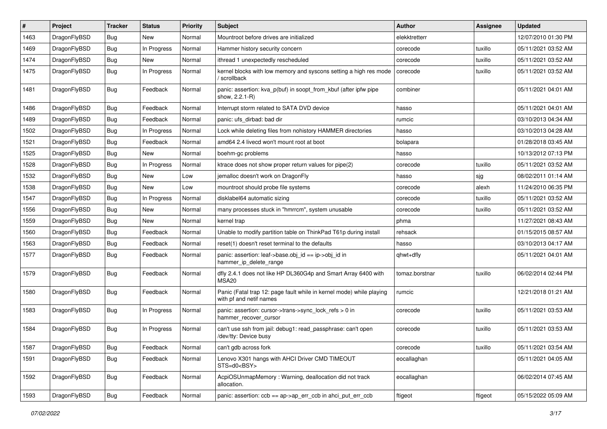| ∦    | Project      | <b>Tracker</b> | <b>Status</b> | <b>Priority</b> | Subject                                                                                         | <b>Author</b>  | Assignee | <b>Updated</b>      |
|------|--------------|----------------|---------------|-----------------|-------------------------------------------------------------------------------------------------|----------------|----------|---------------------|
| 1463 | DragonFlyBSD | <b>Bug</b>     | New           | Normal          | Mountroot before drives are initialized                                                         | elekktretterr  |          | 12/07/2010 01:30 PM |
| 1469 | DragonFlyBSD | <b>Bug</b>     | In Progress   | Normal          | Hammer history security concern                                                                 | corecode       | tuxillo  | 05/11/2021 03:52 AM |
| 1474 | DragonFlyBSD | <b>Bug</b>     | New           | Normal          | ithread 1 unexpectedly rescheduled                                                              | corecode       | tuxillo  | 05/11/2021 03:52 AM |
| 1475 | DragonFlyBSD | Bug            | In Progress   | Normal          | kernel blocks with low memory and syscons setting a high res mode<br>/ scrollback               | corecode       | tuxillo  | 05/11/2021 03:52 AM |
| 1481 | DragonFlyBSD | Bug            | Feedback      | Normal          | panic: assertion: kva_p(buf) in soopt_from_kbuf (after ipfw pipe<br>show, 2.2.1-R)              | combiner       |          | 05/11/2021 04:01 AM |
| 1486 | DragonFlyBSD | <b>Bug</b>     | Feedback      | Normal          | Interrupt storm related to SATA DVD device                                                      | hasso          |          | 05/11/2021 04:01 AM |
| 1489 | DragonFlyBSD | <b>Bug</b>     | Feedback      | Normal          | panic: ufs dirbad: bad dir                                                                      | rumcic         |          | 03/10/2013 04:34 AM |
| 1502 | DragonFlyBSD | Bug            | In Progress   | Normal          | Lock while deleting files from nohistory HAMMER directories                                     | hasso          |          | 03/10/2013 04:28 AM |
| 1521 | DragonFlyBSD | <b>Bug</b>     | Feedback      | Normal          | amd64 2.4 livecd won't mount root at boot                                                       | bolapara       |          | 01/28/2018 03:45 AM |
| 1525 | DragonFlyBSD | <b>Bug</b>     | New           | Normal          | boehm-gc problems                                                                               | hasso          |          | 10/13/2012 07:13 PM |
| 1528 | DragonFlyBSD | <b>Bug</b>     | In Progress   | Normal          | ktrace does not show proper return values for pipe(2)                                           | corecode       | tuxillo  | 05/11/2021 03:52 AM |
| 1532 | DragonFlyBSD | <b>Bug</b>     | New           | Low             | jemalloc doesn't work on DragonFly                                                              | hasso          | sjg      | 08/02/2011 01:14 AM |
| 1538 | DragonFlyBSD | <b>Bug</b>     | <b>New</b>    | Low             | mountroot should probe file systems                                                             | corecode       | alexh    | 11/24/2010 06:35 PM |
| 1547 | DragonFlyBSD | <b>Bug</b>     | In Progress   | Normal          | disklabel64 automatic sizing                                                                    | corecode       | tuxillo  | 05/11/2021 03:52 AM |
| 1556 | DragonFlyBSD | <b>Bug</b>     | New           | Normal          | many processes stuck in "hmrrcm", system unusable                                               | corecode       | tuxillo  | 05/11/2021 03:52 AM |
| 1559 | DragonFlyBSD | <b>Bug</b>     | New           | Normal          | kernel trap                                                                                     | phma           |          | 11/27/2021 08:43 AM |
| 1560 | DragonFlyBSD | Bug            | Feedback      | Normal          | Unable to modify partition table on ThinkPad T61p during install                                | rehsack        |          | 01/15/2015 08:57 AM |
| 1563 | DragonFlyBSD | <b>Bug</b>     | Feedback      | Normal          | reset(1) doesn't reset terminal to the defaults                                                 | hasso          |          | 03/10/2013 04:17 AM |
| 1577 | DragonFlyBSD | <b>Bug</b>     | Feedback      | Normal          | panic: assertion: leaf->base.obj id == ip->obj id in<br>hammer ip delete range                  | qhwt+dfly      |          | 05/11/2021 04:01 AM |
| 1579 | DragonFlyBSD | <b>Bug</b>     | Feedback      | Normal          | dfly 2.4.1 does not like HP DL360G4p and Smart Array 6400 with<br>MSA20                         | tomaz.borstnar | tuxillo  | 06/02/2014 02:44 PM |
| 1580 | DragonFlyBSD | Bug            | Feedback      | Normal          | Panic (Fatal trap 12: page fault while in kernel mode) while playing<br>with pf and netif names | rumcic         |          | 12/21/2018 01:21 AM |
| 1583 | DragonFlyBSD | <b>Bug</b>     | In Progress   | Normal          | panic: assertion: cursor->trans->sync_lock_refs > 0 in<br>hammer recover cursor                 | corecode       | tuxillo  | 05/11/2021 03:53 AM |
| 1584 | DragonFlyBSD | Bug            | In Progress   | Normal          | can't use ssh from jail: debug1: read_passphrase: can't open<br>/dev/tty: Device busy           | corecode       | tuxillo  | 05/11/2021 03:53 AM |
| 1587 | DragonFlyBSD | Bug            | Feedback      | Normal          | can't gdb across fork                                                                           | corecode       | tuxillo  | 05/11/2021 03:54 AM |
| 1591 | DragonFlyBSD | <b>Bug</b>     | Feedback      | Normal          | Lenovo X301 hangs with AHCI Driver CMD TIMEOUT<br>STS=d0 <bsy></bsy>                            | eocallaghan    |          | 05/11/2021 04:05 AM |
| 1592 | DragonFlyBSD | <b>Bug</b>     | Feedback      | Normal          | AcpiOSUnmapMemory: Warning, deallocation did not track<br>allocation.                           | eocallaghan    |          | 06/02/2014 07:45 AM |
| 1593 | DragonFlyBSD | <b>Bug</b>     | Feedback      | Normal          | panic: assertion: $\cosh ==$ ap->ap err $\cosh$ in ahci put err $\cosh$                         | ftigeot        | ftigeot  | 05/15/2022 05:09 AM |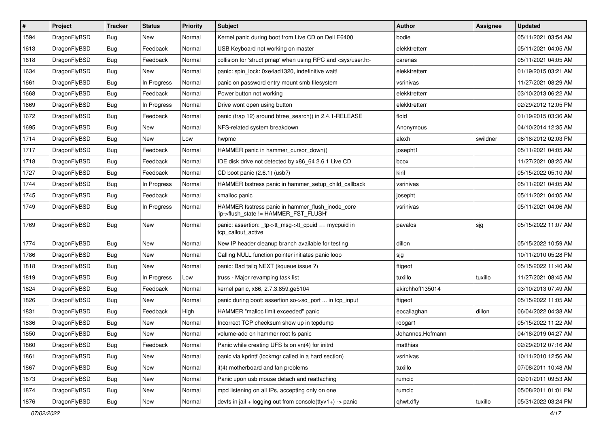| $\vert$ # | Project      | <b>Tracker</b> | <b>Status</b> | <b>Priority</b> | <b>Subject</b>                                                                            | <b>Author</b>    | <b>Assignee</b> | <b>Updated</b>      |
|-----------|--------------|----------------|---------------|-----------------|-------------------------------------------------------------------------------------------|------------------|-----------------|---------------------|
| 1594      | DragonFlyBSD | <b>Bug</b>     | New           | Normal          | Kernel panic during boot from Live CD on Dell E6400                                       | bodie            |                 | 05/11/2021 03:54 AM |
| 1613      | DragonFlyBSD | Bug            | Feedback      | Normal          | USB Keyboard not working on master                                                        | elekktretterr    |                 | 05/11/2021 04:05 AM |
| 1618      | DragonFlyBSD | <b>Bug</b>     | Feedback      | Normal          | collision for 'struct pmap' when using RPC and <sys user.h=""></sys>                      | carenas          |                 | 05/11/2021 04:05 AM |
| 1634      | DragonFlyBSD | Bug            | New           | Normal          | panic: spin lock: 0xe4ad1320, indefinitive wait!                                          | elekktretterr    |                 | 01/19/2015 03:21 AM |
| 1661      | DragonFlyBSD | <b>Bug</b>     | In Progress   | Normal          | panic on password entry mount smb filesystem                                              | vsrinivas        |                 | 11/27/2021 08:29 AM |
| 1668      | DragonFlyBSD | <b>Bug</b>     | Feedback      | Normal          | Power button not working                                                                  | elekktretterr    |                 | 03/10/2013 06:22 AM |
| 1669      | DragonFlyBSD | Bug            | In Progress   | Normal          | Drive wont open using button                                                              | elekktretterr    |                 | 02/29/2012 12:05 PM |
| 1672      | DragonFlyBSD | Bug            | Feedback      | Normal          | panic (trap 12) around btree search() in 2.4.1-RELEASE                                    | floid            |                 | 01/19/2015 03:36 AM |
| 1695      | DragonFlyBSD | <b>Bug</b>     | <b>New</b>    | Normal          | NFS-related system breakdown                                                              | Anonymous        |                 | 04/10/2014 12:35 AM |
| 1714      | DragonFlyBSD | <b>Bug</b>     | <b>New</b>    | Low             | hwpmc                                                                                     | alexh            | swildner        | 08/18/2012 02:03 PM |
| 1717      | DragonFlyBSD | <b>Bug</b>     | Feedback      | Normal          | HAMMER panic in hammer cursor down()                                                      | josepht1         |                 | 05/11/2021 04:05 AM |
| 1718      | DragonFlyBSD | Bug            | Feedback      | Normal          | IDE disk drive not detected by x86 64 2.6.1 Live CD                                       | bcox             |                 | 11/27/2021 08:25 AM |
| 1727      | DragonFlyBSD | <b>Bug</b>     | Feedback      | Normal          | CD boot panic (2.6.1) (usb?)                                                              | kiril            |                 | 05/15/2022 05:10 AM |
| 1744      | DragonFlyBSD | <b>Bug</b>     | In Progress   | Normal          | HAMMER fsstress panic in hammer_setup_child_callback                                      | vsrinivas        |                 | 05/11/2021 04:05 AM |
| 1745      | DragonFlyBSD | Bug            | Feedback      | Normal          | kmalloc panic                                                                             | josepht          |                 | 05/11/2021 04:05 AM |
| 1749      | DragonFlyBSD | <b>Bug</b>     | In Progress   | Normal          | HAMMER fsstress panic in hammer_flush_inode_core<br>'ip->flush state != HAMMER FST FLUSH' | vsrinivas        |                 | 05/11/2021 04:06 AM |
| 1769      | DragonFlyBSD | <b>Bug</b>     | <b>New</b>    | Normal          | panic: assertion: _tp->tt_msg->tt_cpuid == mycpuid in<br>tcp_callout_active               | pavalos          | sjg             | 05/15/2022 11:07 AM |
| 1774      | DragonFlyBSD | Bug            | <b>New</b>    | Normal          | New IP header cleanup branch available for testing                                        | dillon           |                 | 05/15/2022 10:59 AM |
| 1786      | DragonFlyBSD | <b>Bug</b>     | <b>New</b>    | Normal          | Calling NULL function pointer initiates panic loop                                        | sjg              |                 | 10/11/2010 05:28 PM |
| 1818      | DragonFlyBSD | <b>Bug</b>     | <b>New</b>    | Normal          | panic: Bad tailq NEXT (kqueue issue ?)                                                    | ftigeot          |                 | 05/15/2022 11:40 AM |
| 1819      | DragonFlyBSD | <b>Bug</b>     | In Progress   | Low             | truss - Major revamping task list                                                         | tuxillo          | tuxillo         | 11/27/2021 08:45 AM |
| 1824      | DragonFlyBSD | <b>Bug</b>     | Feedback      | Normal          | kernel panic, x86, 2.7.3.859.ge5104                                                       | akirchhoff135014 |                 | 03/10/2013 07:49 AM |
| 1826      | DragonFlyBSD | <b>Bug</b>     | <b>New</b>    | Normal          | panic during boot: assertion so->so_port  in tcp_input                                    | ftigeot          |                 | 05/15/2022 11:05 AM |
| 1831      | DragonFlyBSD | <b>Bug</b>     | Feedback      | High            | HAMMER "malloc limit exceeded" panic                                                      | eocallaghan      | dillon          | 06/04/2022 04:38 AM |
| 1836      | DragonFlyBSD | <b>Bug</b>     | New           | Normal          | Incorrect TCP checksum show up in tcpdump                                                 | robgar1          |                 | 05/15/2022 11:22 AM |
| 1850      | DragonFlyBSD | Bug            | <b>New</b>    | Normal          | volume-add on hammer root fs panic                                                        | Johannes.Hofmann |                 | 04/18/2019 04:27 AM |
| 1860      | DragonFlyBSD | Bug            | Feedback      | Normal          | Panic while creating UFS fs on vn(4) for initrd                                           | matthias         |                 | 02/29/2012 07:16 AM |
| 1861      | DragonFlyBSD | <b>Bug</b>     | New           | Normal          | panic via kprintf (lockmgr called in a hard section)                                      | vsrinivas        |                 | 10/11/2010 12:56 AM |
| 1867      | DragonFlyBSD | Bug            | New           | Normal          | it(4) motherboard and fan problems                                                        | tuxillo          |                 | 07/08/2011 10:48 AM |
| 1873      | DragonFlyBSD | <b>Bug</b>     | New           | Normal          | Panic upon usb mouse detach and reattaching                                               | rumcic           |                 | 02/01/2011 09:53 AM |
| 1874      | DragonFlyBSD | <b>Bug</b>     | New           | Normal          | mpd listening on all IPs, accepting only on one                                           | rumcic           |                 | 05/08/2011 01:01 PM |
| 1876      | DragonFlyBSD | Bug            | New           | Normal          | devfs in jail + logging out from console(ttyv1+) -> panic                                 | qhwt.dfly        | tuxillo         | 05/31/2022 03:24 PM |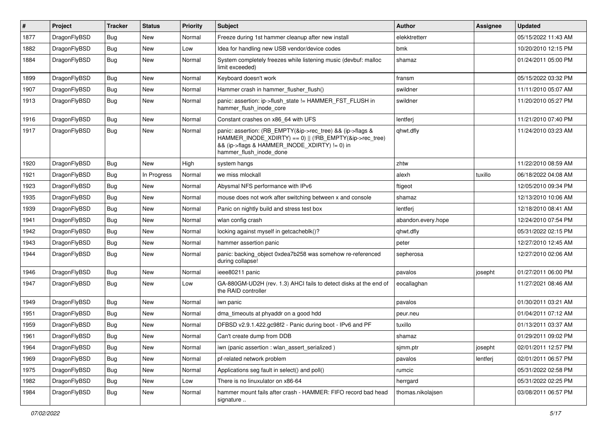| #    | Project      | <b>Tracker</b> | <b>Status</b> | <b>Priority</b> | Subject                                                                                                                                                                                           | <b>Author</b>      | Assignee | <b>Updated</b>      |
|------|--------------|----------------|---------------|-----------------|---------------------------------------------------------------------------------------------------------------------------------------------------------------------------------------------------|--------------------|----------|---------------------|
| 1877 | DragonFlyBSD | Bug            | <b>New</b>    | Normal          | Freeze during 1st hammer cleanup after new install                                                                                                                                                | elekktretterr      |          | 05/15/2022 11:43 AM |
| 1882 | DragonFlyBSD | <b>Bug</b>     | <b>New</b>    | Low             | Idea for handling new USB vendor/device codes                                                                                                                                                     | bmk                |          | 10/20/2010 12:15 PM |
| 1884 | DragonFlyBSD | <b>Bug</b>     | New           | Normal          | System completely freezes while listening music (devbuf: malloc<br>limit exceeded)                                                                                                                | shamaz             |          | 01/24/2011 05:00 PM |
| 1899 | DragonFlyBSD | <b>Bug</b>     | <b>New</b>    | Normal          | Keyboard doesn't work                                                                                                                                                                             | fransm             |          | 05/15/2022 03:32 PM |
| 1907 | DragonFlyBSD | <b>Bug</b>     | New           | Normal          | Hammer crash in hammer flusher flush()                                                                                                                                                            | swildner           |          | 11/11/2010 05:07 AM |
| 1913 | DragonFlyBSD | Bug            | New           | Normal          | panic: assertion: ip->flush_state != HAMMER_FST_FLUSH in<br>hammer_flush_inode_core                                                                                                               | swildner           |          | 11/20/2010 05:27 PM |
| 1916 | DragonFlyBSD | <b>Bug</b>     | <b>New</b>    | Normal          | Constant crashes on x86 64 with UFS                                                                                                                                                               | lentferj           |          | 11/21/2010 07:40 PM |
| 1917 | DragonFlyBSD | Bug            | New           | Normal          | panic: assertion: (RB_EMPTY(&ip->rec_tree) && (ip->flags &<br>HAMMER_INODE_XDIRTY) == 0)    (!RB_EMPTY(&ip->rec_tree)<br>&& (ip->flags & HAMMER_INODE_XDIRTY) != 0) in<br>hammer flush inode done | qhwt.dfly          |          | 11/24/2010 03:23 AM |
| 1920 | DragonFlyBSD | <b>Bug</b>     | <b>New</b>    | High            | system hangs                                                                                                                                                                                      | zhtw               |          | 11/22/2010 08:59 AM |
| 1921 | DragonFlyBSD | Bug            | In Progress   | Normal          | we miss mlockall                                                                                                                                                                                  | alexh              | tuxillo  | 06/18/2022 04:08 AM |
| 1923 | DragonFlyBSD | Bug            | New           | Normal          | Abysmal NFS performance with IPv6                                                                                                                                                                 | ftigeot            |          | 12/05/2010 09:34 PM |
| 1935 | DragonFlyBSD | Bug            | <b>New</b>    | Normal          | mouse does not work after switching between x and console                                                                                                                                         | shamaz             |          | 12/13/2010 10:06 AM |
| 1939 | DragonFlyBSD | Bug            | <b>New</b>    | Normal          | Panic on nightly build and stress test box                                                                                                                                                        | lentferj           |          | 12/18/2010 08:41 AM |
| 1941 | DragonFlyBSD | <b>Bug</b>     | New           | Normal          | wlan config crash                                                                                                                                                                                 | abandon.every.hope |          | 12/24/2010 07:54 PM |
| 1942 | DragonFlyBSD | Bug            | New           | Normal          | locking against myself in getcacheblk()?                                                                                                                                                          | qhwt.dfly          |          | 05/31/2022 02:15 PM |
| 1943 | DragonFlyBSD | <b>Bug</b>     | New           | Normal          | hammer assertion panic                                                                                                                                                                            | peter              |          | 12/27/2010 12:45 AM |
| 1944 | DragonFlyBSD | <b>Bug</b>     | New           | Normal          | panic: backing object 0xdea7b258 was somehow re-referenced<br>during collapse!                                                                                                                    | sepherosa          |          | 12/27/2010 02:06 AM |
| 1946 | DragonFlyBSD | Bug            | New           | Normal          | ieee80211 panic                                                                                                                                                                                   | pavalos            | josepht  | 01/27/2011 06:00 PM |
| 1947 | DragonFlyBSD | Bug            | New           | Low             | GA-880GM-UD2H (rev. 1.3) AHCI fails to detect disks at the end of<br>the RAID controller                                                                                                          | eocallaghan        |          | 11/27/2021 08:46 AM |
| 1949 | DragonFlyBSD | <b>Bug</b>     | <b>New</b>    | Normal          | iwn panic                                                                                                                                                                                         | pavalos            |          | 01/30/2011 03:21 AM |
| 1951 | DragonFlyBSD | Bug            | New           | Normal          | dma timeouts at phyaddr on a good hdd                                                                                                                                                             | peur.neu           |          | 01/04/2011 07:12 AM |
| 1959 | DragonFlyBSD | Bug            | <b>New</b>    | Normal          | DFBSD v2.9.1.422.gc98f2 - Panic during boot - IPv6 and PF                                                                                                                                         | tuxillo            |          | 01/13/2011 03:37 AM |
| 1961 | DragonFlyBSD | <b>Bug</b>     | New           | Normal          | Can't create dump from DDB                                                                                                                                                                        | shamaz             |          | 01/29/2011 09:02 PM |
| 1964 | DragonFlyBSD | Bug            | <b>New</b>    | Normal          | iwn (panic assertion : wlan_assert_serialized)                                                                                                                                                    | sjmm.ptr           | josepht  | 02/01/2011 12:57 PM |
| 1969 | DragonFlyBSD | Bug            | New           | Normal          | pf-related network problem                                                                                                                                                                        | pavalos            | lentferj | 02/01/2011 06:57 PM |
| 1975 | DragonFlyBSD | <b>Bug</b>     | New           | Normal          | Applications seg fault in select() and poll()                                                                                                                                                     | rumcic             |          | 05/31/2022 02:58 PM |
| 1982 | DragonFlyBSD | Bug            | New           | Low             | There is no linuxulator on x86-64                                                                                                                                                                 | herrgard           |          | 05/31/2022 02:25 PM |
| 1984 | DragonFlyBSD | <b>Bug</b>     | New           | Normal          | hammer mount fails after crash - HAMMER: FIFO record bad head<br>signature                                                                                                                        | thomas.nikolajsen  |          | 03/08/2011 06:57 PM |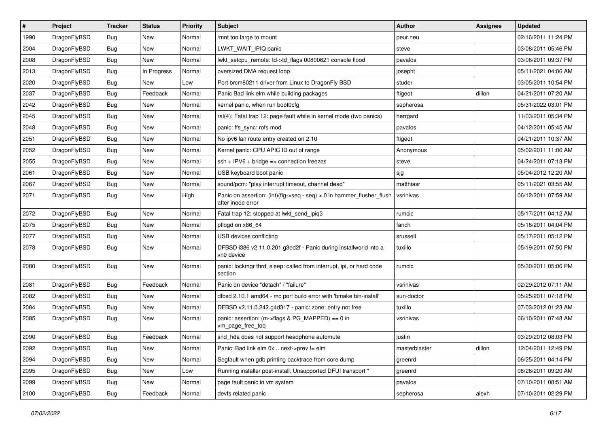| $\vert$ # | Project      | <b>Tracker</b> | <b>Status</b> | <b>Priority</b> | Subject                                                                                    | <b>Author</b> | <b>Assignee</b> | <b>Updated</b>      |
|-----------|--------------|----------------|---------------|-----------------|--------------------------------------------------------------------------------------------|---------------|-----------------|---------------------|
| 1990      | DragonFlyBSD | Bug            | <b>New</b>    | Normal          | /mnt too large to mount                                                                    | peur.neu      |                 | 02/16/2011 11:24 PM |
| 2004      | DragonFlyBSD | Bug            | <b>New</b>    | Normal          | LWKT_WAIT_IPIQ panic                                                                       | steve         |                 | 03/08/2011 05:46 PM |
| 2008      | DragonFlyBSD | Bug            | New           | Normal          | lwkt_setcpu_remote: td->td_flags 00800621 console flood                                    | pavalos       |                 | 03/06/2011 09:37 PM |
| 2013      | DragonFlyBSD | Bug            | In Progress   | Normal          | oversized DMA request loop                                                                 | josepht       |                 | 05/11/2021 04:06 AM |
| 2020      | DragonFlyBSD | Bug            | <b>New</b>    | Low             | Port brcm80211 driver from Linux to DragonFly BSD                                          | studer        |                 | 03/05/2011 10:54 PM |
| 2037      | DragonFlyBSD | Bug            | Feedback      | Normal          | Panic Bad link elm while building packages                                                 | ftigeot       | dillon          | 04/21/2011 07:20 AM |
| 2042      | DragonFlyBSD | Bug            | <b>New</b>    | Normal          | kernel panic, when run boot0cfg                                                            | sepherosa     |                 | 05/31/2022 03:01 PM |
| 2045      | DragonFlyBSD | Bug            | New           | Normal          | ral(4): Fatal trap 12: page fault while in kernel mode (two panics)                        | herrgard      |                 | 11/03/2011 05:34 PM |
| 2048      | DragonFlyBSD | <b>Bug</b>     | <b>New</b>    | Normal          | panic: ffs_sync: rofs mod                                                                  | pavalos       |                 | 04/12/2011 05:45 AM |
| 2051      | DragonFlyBSD | Bug            | <b>New</b>    | Normal          | No ipv6 lan route entry created on 2.10                                                    | ftigeot       |                 | 04/21/2011 10:37 AM |
| 2052      | DragonFlyBSD | Bug            | <b>New</b>    | Normal          | Kernel panic: CPU APIC ID out of range                                                     | Anonymous     |                 | 05/02/2011 11:06 AM |
| 2055      | DragonFlyBSD | Bug            | New           | Normal          | $ssh + IPV6 + bridge \Rightarrow connection freezes$                                       | steve         |                 | 04/24/2011 07:13 PM |
| 2061      | DragonFlyBSD | Bug            | <b>New</b>    | Normal          | USB keyboard boot panic                                                                    | sjg           |                 | 05/04/2012 12:20 AM |
| 2067      | DragonFlyBSD | <b>Bug</b>     | <b>New</b>    | Normal          | sound/pcm: "play interrupt timeout, channel dead"                                          | matthiasr     |                 | 05/11/2021 03:55 AM |
| 2071      | DragonFlyBSD | Bug            | New           | High            | Panic on assertion: (int)(flg->seq - seq) > 0 in hammer_flusher_flush<br>after inode error | vsrinivas     |                 | 06/12/2011 07:59 AM |
| 2072      | DragonFlyBSD | Bug            | New           | Normal          | Fatal trap 12: stopped at lwkt_send_ipiq3                                                  | rumcic        |                 | 05/17/2011 04:12 AM |
| 2075      | DragonFlyBSD | Bug            | <b>New</b>    | Normal          | pflogd on x86_64                                                                           | fanch         |                 | 05/16/2011 04:04 PM |
| 2077      | DragonFlyBSD | Bug            | New           | Normal          | USB devices conflicting                                                                    | srussell      |                 | 05/17/2011 05:12 PM |
| 2078      | DragonFlyBSD | Bug            | <b>New</b>    | Normal          | DFBSD i386 v2.11.0.201.g3ed2f - Panic during installworld into a<br>vn0 device             | tuxillo       |                 | 05/19/2011 07:50 PM |
| 2080      | DragonFlyBSD | Bug            | <b>New</b>    | Normal          | panic: lockmgr thrd_sleep: called from interrupt, ipi, or hard code<br>section             | rumcic        |                 | 05/30/2011 05:06 PM |
| 2081      | DragonFlyBSD | Bug            | Feedback      | Normal          | Panic on device "detach" / "failure"                                                       | vsrinivas     |                 | 02/29/2012 07:11 AM |
| 2082      | DragonFlyBSD | <b>Bug</b>     | <b>New</b>    | Normal          | dfbsd 2.10.1 amd64 - mc port build error with 'bmake bin-install'                          | sun-doctor    |                 | 05/25/2011 07:18 PM |
| 2084      | DragonFlyBSD | Bug            | New           | Normal          | DFBSD v2.11.0.242.g4d317 - panic: zone: entry not free                                     | tuxillo       |                 | 07/03/2012 01:23 AM |
| 2085      | DragonFlyBSD | Bug            | New           | Normal          | panic: assertion: (m->flags & PG_MAPPED) == 0 in<br>vm_page_free_toq                       | vsrinivas     |                 | 06/10/2011 07:48 AM |
| 2090      | DragonFlyBSD | Bug            | Feedback      | Normal          | snd hda does not support headphone automute                                                | justin        |                 | 03/29/2012 08:03 PM |
| 2092      | DragonFlyBSD | <b>Bug</b>     | New           | Normal          | Panic: Bad link elm 0x next->prev != elm                                                   | masterblaster | dillon          | 12/04/2011 12:49 PM |
| 2094      | DragonFlyBSD | <b>Bug</b>     | New           | Normal          | Segfault when gdb printing backtrace from core dump                                        | greenrd       |                 | 06/25/2011 04:14 PM |
| 2095      | DragonFlyBSD | <b>Bug</b>     | New           | Low             | Running installer post-install: Unsupported DFUI transport "                               | greenrd       |                 | 06/26/2011 09:20 AM |
| 2099      | DragonFlyBSD | <b>Bug</b>     | New           | Normal          | page fault panic in vm system                                                              | pavalos       |                 | 07/10/2011 08:51 AM |
| 2100      | DragonFlyBSD | <b>Bug</b>     | Feedback      | Normal          | devfs related panic                                                                        | sepherosa     | alexh           | 07/10/2011 02:29 PM |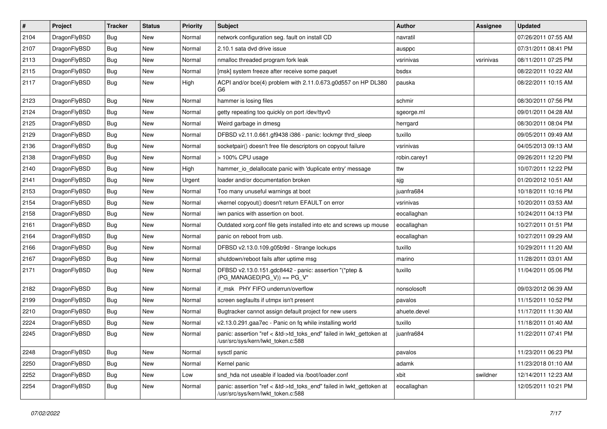| $\vert$ # | Project      | <b>Tracker</b> | <b>Status</b> | <b>Priority</b> | <b>Subject</b>                                                                                             | Author       | Assignee  | <b>Updated</b>      |
|-----------|--------------|----------------|---------------|-----------------|------------------------------------------------------------------------------------------------------------|--------------|-----------|---------------------|
| 2104      | DragonFlyBSD | <b>Bug</b>     | <b>New</b>    | Normal          | network configuration seg. fault on install CD                                                             | navratil     |           | 07/26/2011 07:55 AM |
| 2107      | DragonFlyBSD | <b>Bug</b>     | <b>New</b>    | Normal          | 2.10.1 sata dvd drive issue                                                                                | ausppc       |           | 07/31/2011 08:41 PM |
| 2113      | DragonFlyBSD | <b>Bug</b>     | <b>New</b>    | Normal          | nmalloc threaded program fork leak                                                                         | vsrinivas    | vsrinivas | 08/11/2011 07:25 PM |
| 2115      | DragonFlyBSD | Bug            | <b>New</b>    | Normal          | [msk] system freeze after receive some paquet                                                              | bsdsx        |           | 08/22/2011 10:22 AM |
| 2117      | DragonFlyBSD | Bug            | New           | High            | ACPI and/or bce(4) problem with 2.11.0.673.g0d557 on HP DL380<br>G6                                        | pauska       |           | 08/22/2011 10:15 AM |
| 2123      | DragonFlyBSD | Bug            | <b>New</b>    | Normal          | hammer is losing files                                                                                     | schmir       |           | 08/30/2011 07:56 PM |
| 2124      | DragonFlyBSD | <b>Bug</b>     | <b>New</b>    | Normal          | getty repeating too quickly on port /dev/ttyv0                                                             | sgeorge.ml   |           | 09/01/2011 04:28 AM |
| 2125      | DragonFlyBSD | Bug            | <b>New</b>    | Normal          | Weird garbage in dmesg                                                                                     | herrgard     |           | 08/30/2011 08:04 PM |
| 2129      | DragonFlyBSD | Bug            | <b>New</b>    | Normal          | DFBSD v2.11.0.661.gf9438 i386 - panic: lockmgr thrd_sleep                                                  | tuxillo      |           | 09/05/2011 09:49 AM |
| 2136      | DragonFlyBSD | Bug            | <b>New</b>    | Normal          | socketpair() doesn't free file descriptors on copyout failure                                              | vsrinivas    |           | 04/05/2013 09:13 AM |
| 2138      | DragonFlyBSD | Bug            | <b>New</b>    | Normal          | > 100% CPU usage                                                                                           | robin.carey1 |           | 09/26/2011 12:20 PM |
| 2140      | DragonFlyBSD | <b>Bug</b>     | <b>New</b>    | High            | hammer io delallocate panic with 'duplicate entry' message                                                 | ttw          |           | 10/07/2011 12:22 PM |
| 2141      | DragonFlyBSD | <b>Bug</b>     | New           | Urgent          | loader and/or documentation broken                                                                         | sjg          |           | 01/20/2012 10:51 AM |
| 2153      | DragonFlyBSD | <b>Bug</b>     | <b>New</b>    | Normal          | Too many unuseful warnings at boot                                                                         | juanfra684   |           | 10/18/2011 10:16 PM |
| 2154      | DragonFlyBSD | <b>Bug</b>     | <b>New</b>    | Normal          | vkernel copyout() doesn't return EFAULT on error                                                           | vsrinivas    |           | 10/20/2011 03:53 AM |
| 2158      | DragonFlyBSD | Bug            | New           | Normal          | iwn panics with assertion on boot.                                                                         | eocallaghan  |           | 10/24/2011 04:13 PM |
| 2161      | DragonFlyBSD | <b>Bug</b>     | <b>New</b>    | Normal          | Outdated xorg.conf file gets installed into etc and screws up mouse                                        | eocallaghan  |           | 10/27/2011 01:51 PM |
| 2164      | DragonFlyBSD | <b>Bug</b>     | <b>New</b>    | Normal          | panic on reboot from usb.                                                                                  | eocallaghan  |           | 10/27/2011 09:29 AM |
| 2166      | DragonFlyBSD | Bug            | <b>New</b>    | Normal          | DFBSD v2.13.0.109.g05b9d - Strange lockups                                                                 | tuxillo      |           | 10/29/2011 11:20 AM |
| 2167      | DragonFlyBSD | <b>Bug</b>     | <b>New</b>    | Normal          | shutdown/reboot fails after uptime msg                                                                     | marino       |           | 11/28/2011 03:01 AM |
| 2171      | DragonFlyBSD | Bug            | <b>New</b>    | Normal          | DFBSD v2.13.0.151.gdc8442 - panic: assertion "(*ptep &<br>$(PG_MANAGED PG_V)) == PG_V"$                    | tuxillo      |           | 11/04/2011 05:06 PM |
| 2182      | DragonFlyBSD | <b>Bug</b>     | <b>New</b>    | Normal          | if msk PHY FIFO underrun/overflow                                                                          | nonsolosoft  |           | 09/03/2012 06:39 AM |
| 2199      | DragonFlyBSD | Bug            | New           | Normal          | screen segfaults if utmpx isn't present                                                                    | pavalos      |           | 11/15/2011 10:52 PM |
| 2210      | DragonFlyBSD | <b>Bug</b>     | <b>New</b>    | Normal          | Bugtracker cannot assign default project for new users                                                     | ahuete.devel |           | 11/17/2011 11:30 AM |
| 2224      | DragonFlyBSD | Bug            | New           | Normal          | v2.13.0.291.gaa7ec - Panic on fq while installing world                                                    | tuxillo      |           | 11/18/2011 01:40 AM |
| 2245      | DragonFlyBSD | Bug            | New           | Normal          | panic: assertion "ref < &td->td_toks_end" failed in lwkt_gettoken at<br>/usr/src/sys/kern/lwkt_token.c:588 | juanfra684   |           | 11/22/2011 07:41 PM |
| 2248      | DragonFlyBSD | Bug            | New           | Normal          | sysctl panic                                                                                               | pavalos      |           | 11/23/2011 06:23 PM |
| 2250      | DragonFlyBSD | <b>Bug</b>     | New           | Normal          | Kernel panic                                                                                               | adamk        |           | 11/23/2018 01:10 AM |
| 2252      | DragonFlyBSD | <b>Bug</b>     | New           | Low             | snd_hda not useable if loaded via /boot/loader.conf                                                        | xbit         | swildner  | 12/14/2011 12:23 AM |
| 2254      | DragonFlyBSD | <b>Bug</b>     | New           | Normal          | panic: assertion "ref < &td->td_toks_end" failed in lwkt_gettoken at<br>/usr/src/sys/kern/lwkt_token.c:588 | eocallaghan  |           | 12/05/2011 10:21 PM |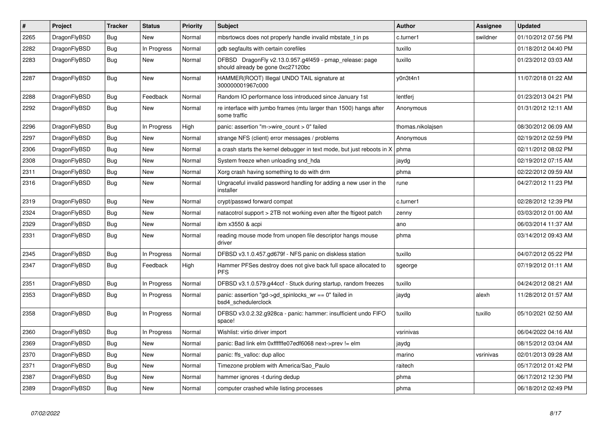| $\vert$ # | <b>Project</b> | <b>Tracker</b> | <b>Status</b> | <b>Priority</b> | <b>Subject</b>                                                                               | Author            | Assignee  | <b>Updated</b>      |
|-----------|----------------|----------------|---------------|-----------------|----------------------------------------------------------------------------------------------|-------------------|-----------|---------------------|
| 2265      | DragonFlyBSD   | Bug            | <b>New</b>    | Normal          | mbsrtowcs does not properly handle invalid mbstate t in ps                                   | c.turner1         | swildner  | 01/10/2012 07:56 PM |
| 2282      | DragonFlyBSD   | <b>Bug</b>     | In Progress   | Normal          | gdb segfaults with certain corefiles                                                         | tuxillo           |           | 01/18/2012 04:40 PM |
| 2283      | DragonFlyBSD   | <b>Bug</b>     | New           | Normal          | DFBSD DragonFly v2.13.0.957.g4f459 - pmap_release: page<br>should already be gone 0xc27120bc | tuxillo           |           | 01/23/2012 03:03 AM |
| 2287      | DragonFlyBSD   | <b>Bug</b>     | <b>New</b>    | Normal          | HAMMER(ROOT) Illegal UNDO TAIL signature at<br>300000001967c000                              | y0n3t4n1          |           | 11/07/2018 01:22 AM |
| 2288      | DragonFlyBSD   | <b>Bug</b>     | Feedback      | Normal          | Random IO performance loss introduced since January 1st                                      | lentferj          |           | 01/23/2013 04:21 PM |
| 2292      | DragonFlyBSD   | <b>Bug</b>     | <b>New</b>    | Normal          | re interface with jumbo frames (mtu larger than 1500) hangs after<br>some traffic            | Anonymous         |           | 01/31/2012 12:11 AM |
| 2296      | DragonFlyBSD   | <b>Bug</b>     | In Progress   | High            | panic: assertion "m->wire count > 0" failed                                                  | thomas.nikolajsen |           | 08/30/2012 06:09 AM |
| 2297      | DragonFlyBSD   | <b>Bug</b>     | <b>New</b>    | Normal          | strange NFS (client) error messages / problems                                               | Anonymous         |           | 02/19/2012 02:59 PM |
| 2306      | DragonFlyBSD   | <b>Bug</b>     | <b>New</b>    | Normal          | a crash starts the kernel debugger in text mode, but just reboots in X                       | phma              |           | 02/11/2012 08:02 PM |
| 2308      | DragonFlyBSD   | Bug            | <b>New</b>    | Normal          | System freeze when unloading snd hda                                                         | jaydg             |           | 02/19/2012 07:15 AM |
| 2311      | DragonFlyBSD   | <b>Bug</b>     | <b>New</b>    | Normal          | Xorg crash having something to do with drm                                                   | phma              |           | 02/22/2012 09:59 AM |
| 2316      | DragonFlyBSD   | <b>Bug</b>     | <b>New</b>    | Normal          | Ungraceful invalid password handling for adding a new user in the<br>installer               | rune              |           | 04/27/2012 11:23 PM |
| 2319      | DragonFlyBSD   | Bug            | New           | Normal          | crypt/passwd forward compat                                                                  | c.turner1         |           | 02/28/2012 12:39 PM |
| 2324      | DragonFlyBSD   | <b>Bug</b>     | <b>New</b>    | Normal          | natacotrol support > 2TB not working even after the ftigeot patch                            | zenny             |           | 03/03/2012 01:00 AM |
| 2329      | DragonFlyBSD   | <b>Bug</b>     | <b>New</b>    | Normal          | ibm x3550 & acpi                                                                             | ano               |           | 06/03/2014 11:37 AM |
| 2331      | DragonFlyBSD   | <b>Bug</b>     | <b>New</b>    | Normal          | reading mouse mode from unopen file descriptor hangs mouse<br>driver                         | phma              |           | 03/14/2012 09:43 AM |
| 2345      | DragonFlyBSD   | <b>Bug</b>     | In Progress   | Normal          | DFBSD v3.1.0.457.gd679f - NFS panic on diskless station                                      | tuxillo           |           | 04/07/2012 05:22 PM |
| 2347      | DragonFlyBSD   | Bug            | Feedback      | High            | Hammer PFSes destroy does not give back full space allocated to<br><b>PFS</b>                | sgeorge           |           | 07/19/2012 01:11 AM |
| 2351      | DragonFlyBSD   | <b>Bug</b>     | In Progress   | Normal          | DFBSD v3.1.0.579.g44ccf - Stuck during startup, random freezes                               | tuxillo           |           | 04/24/2012 08:21 AM |
| 2353      | DragonFlyBSD   | <b>Bug</b>     | In Progress   | Normal          | panic: assertion "gd->gd_spinlocks_wr == 0" failed in<br>bsd4 schedulerclock                 | jaydg             | alexh     | 11/28/2012 01:57 AM |
| 2358      | DragonFlyBSD   | <b>Bug</b>     | In Progress   | Normal          | DFBSD v3.0.2.32.g928ca - panic: hammer: insufficient undo FIFO<br>space!                     | tuxillo           | tuxillo   | 05/10/2021 02:50 AM |
| 2360      | DragonFlyBSD   | <b>Bug</b>     | In Progress   | Normal          | Wishlist: virtio driver import                                                               | vsrinivas         |           | 06/04/2022 04:16 AM |
| 2369      | DragonFlyBSD   | <b>Bug</b>     | <b>New</b>    | Normal          | panic: Bad link elm 0xffffffe07edf6068 next->prev != elm                                     | jaydg             |           | 08/15/2012 03:04 AM |
| 2370      | DragonFlyBSD   | <b>Bug</b>     | <b>New</b>    | Normal          | panic: ffs_valloc: dup alloc                                                                 | marino            | vsrinivas | 02/01/2013 09:28 AM |
| 2371      | DragonFlyBSD   | Bug            | New           | Normal          | Timezone problem with America/Sao Paulo                                                      | raitech           |           | 05/17/2012 01:42 PM |
| 2387      | DragonFlyBSD   | Bug            | New           | Normal          | hammer ignores -t during dedup                                                               | phma              |           | 06/17/2012 12:30 PM |
| 2389      | DragonFlyBSD   | Bug            | New           | Normal          | computer crashed while listing processes                                                     | phma              |           | 06/18/2012 02:49 PM |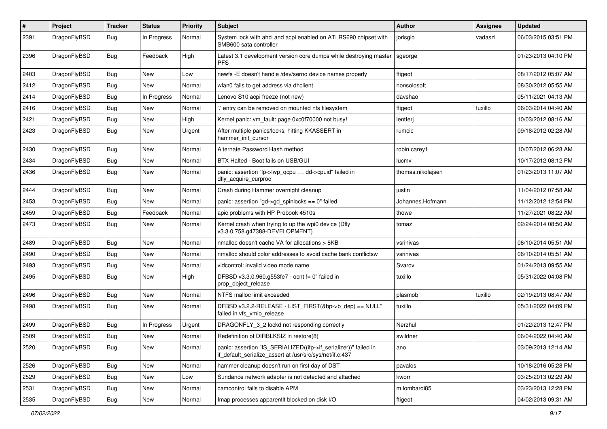| #    | Project      | <b>Tracker</b> | <b>Status</b> | <b>Priority</b> | Subject                                                                                                                      | Author            | Assignee | <b>Updated</b>      |
|------|--------------|----------------|---------------|-----------------|------------------------------------------------------------------------------------------------------------------------------|-------------------|----------|---------------------|
| 2391 | DragonFlyBSD | Bug            | In Progress   | Normal          | System lock with ahci and acpi enabled on ATI RS690 chipset with<br>SMB600 sata controller                                   | jorisgio          | vadaszi  | 06/03/2015 03:51 PM |
| 2396 | DragonFlyBSD | Bug            | Feedback      | High            | Latest 3.1 development version core dumps while destroying master<br><b>PFS</b>                                              | sgeorge           |          | 01/23/2013 04:10 PM |
| 2403 | DragonFlyBSD | Bug            | <b>New</b>    | Low             | newfs -E doesn't handle /dev/serno device names properly                                                                     | ftigeot           |          | 08/17/2012 05:07 AM |
| 2412 | DragonFlyBSD | <b>Bug</b>     | New           | Normal          | wlan0 fails to get address via dhclient                                                                                      | nonsolosoft       |          | 08/30/2012 05:55 AM |
| 2414 | DragonFlyBSD | <b>Bug</b>     | In Progress   | Normal          | Lenovo S10 acpi freeze (not new)                                                                                             | davshao           |          | 05/11/2021 04:13 AM |
| 2416 | DragonFlyBSD | Bug            | New           | Normal          | 'entry can be removed on mounted nfs filesystem                                                                              | ftigeot           | tuxillo  | 06/03/2014 04:40 AM |
| 2421 | DragonFlyBSD | <b>Bug</b>     | <b>New</b>    | High            | Kernel panic: vm fault: page 0xc0f70000 not busy!                                                                            | lentferj          |          | 10/03/2012 08:16 AM |
| 2423 | DragonFlyBSD | Bug            | New           | Urgent          | After multiple panics/locks, hitting KKASSERT in<br>hammer init cursor                                                       | rumcic            |          | 09/18/2012 02:28 AM |
| 2430 | DragonFlyBSD | Bug            | <b>New</b>    | Normal          | Alternate Password Hash method                                                                                               | robin.carey1      |          | 10/07/2012 06:28 AM |
| 2434 | DragonFlyBSD | Bug            | <b>New</b>    | Normal          | BTX Halted - Boot fails on USB/GUI                                                                                           | lucmv             |          | 10/17/2012 08:12 PM |
| 2436 | DragonFlyBSD | Bug            | New           | Normal          | panic: assertion "lp->lwp qcpu == dd->cpuid" failed in<br>dfly_acquire_curproc                                               | thomas.nikolajsen |          | 01/23/2013 11:07 AM |
| 2444 | DragonFlyBSD | Bug            | <b>New</b>    | Normal          | Crash during Hammer overnight cleanup                                                                                        | justin            |          | 11/04/2012 07:58 AM |
| 2453 | DragonFlyBSD | <b>Bug</b>     | <b>New</b>    | Normal          | panic: assertion "gd->gd spinlocks == $0$ " failed                                                                           | Johannes.Hofmann  |          | 11/12/2012 12:54 PM |
| 2459 | DragonFlyBSD | Bug            | Feedback      | Normal          | apic problems with HP Probook 4510s                                                                                          | thowe             |          | 11/27/2021 08:22 AM |
| 2473 | DragonFlyBSD | Bug            | <b>New</b>    | Normal          | Kernel crash when trying to up the wpi0 device (Dfly<br>v3.3.0.758.g47388-DEVELOPMENT)                                       | tomaz             |          | 02/24/2014 08:50 AM |
| 2489 | DragonFlyBSD | Bug            | <b>New</b>    | Normal          | nmalloc doesn't cache VA for allocations > 8KB                                                                               | vsrinivas         |          | 06/10/2014 05:51 AM |
| 2490 | DragonFlyBSD | Bug            | New           | Normal          | nmalloc should color addresses to avoid cache bank conflictsw                                                                | vsrinivas         |          | 06/10/2014 05:51 AM |
| 2493 | DragonFlyBSD | <b>Bug</b>     | <b>New</b>    | Normal          | vidcontrol: invalid video mode name                                                                                          | Svarov            |          | 01/24/2013 09:55 AM |
| 2495 | DragonFlyBSD | Bug            | New           | High            | DFBSD v3.3.0.960.g553fe7 - ocnt != 0" failed in<br>prop_object_release                                                       | tuxillo           |          | 05/31/2022 04:08 PM |
| 2496 | DragonFlyBSD | Bug            | New           | Normal          | NTFS malloc limit exceeded                                                                                                   | plasmob           | tuxillo  | 02/19/2013 08:47 AM |
| 2498 | DragonFlyBSD | Bug            | <b>New</b>    | Normal          | DFBSD v3.2.2-RELEASE - LIST_FIRST(&bp->b_dep) == NULL"<br>failed in vfs_vmio_release                                         | tuxillo           |          | 05/31/2022 04:09 PM |
| 2499 | DragonFlyBSD | Bug            | In Progress   | Urgent          | DRAGONFLY_3_2 lockd not responding correctly                                                                                 | Nerzhul           |          | 01/22/2013 12:47 PM |
| 2509 | DragonFlyBSD | Bug            | New           | Normal          | Redefinition of DIRBLKSIZ in restore(8)                                                                                      | swildner          |          | 06/04/2022 04:40 AM |
| 2520 | DragonFlyBSD | Bug            | New           | Normal          | panic: assertion "IS_SERIALIZED((ifp->if_serializer))" failed in<br>if_default_serialize_assert at /usr/src/sys/net/if.c:437 | ano               |          | 03/09/2013 12:14 AM |
| 2526 | DragonFlyBSD | <b>Bug</b>     | New           | Normal          | hammer cleanup doesn't run on first day of DST                                                                               | pavalos           |          | 10/18/2016 05:28 PM |
| 2529 | DragonFlyBSD | Bug            | New           | Low             | Sundance network adapter is not detected and attached                                                                        | kworr             |          | 03/25/2013 02:29 AM |
| 2531 | DragonFlyBSD | <b>Bug</b>     | New           | Normal          | camcontrol fails to disable APM                                                                                              | m.lombardi85      |          | 03/23/2013 12:28 PM |
| 2535 | DragonFlyBSD | <b>Bug</b>     | New           | Normal          | Imap processes apparentlt blocked on disk I/O                                                                                | ftigeot           |          | 04/02/2013 09:31 AM |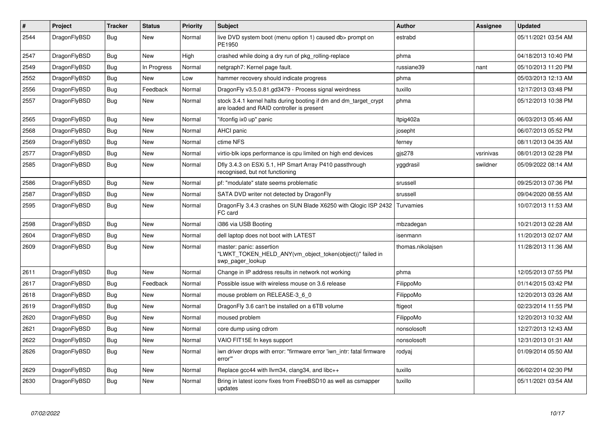| $\sharp$ | <b>Project</b> | <b>Tracker</b> | <b>Status</b> | <b>Priority</b> | <b>Subject</b>                                                                                                 | <b>Author</b>     | <b>Assignee</b> | <b>Updated</b>      |
|----------|----------------|----------------|---------------|-----------------|----------------------------------------------------------------------------------------------------------------|-------------------|-----------------|---------------------|
| 2544     | DragonFlyBSD   | <b>Bug</b>     | New           | Normal          | live DVD system boot (menu option 1) caused db> prompt on<br>PE1950                                            | estrabd           |                 | 05/11/2021 03:54 AM |
| 2547     | DragonFlyBSD   | <b>Bug</b>     | New           | High            | crashed while doing a dry run of pkg_rolling-replace                                                           | phma              |                 | 04/18/2013 10:40 PM |
| 2549     | DragonFlyBSD   | <b>Bug</b>     | In Progress   | Normal          | netgraph7: Kernel page fault.                                                                                  | russiane39        | nant            | 05/10/2013 11:20 PM |
| 2552     | DragonFlyBSD   | Bug            | <b>New</b>    | Low             | hammer recovery should indicate progress                                                                       | phma              |                 | 05/03/2013 12:13 AM |
| 2556     | DragonFlyBSD   | Bug            | Feedback      | Normal          | DragonFly v3.5.0.81.gd3479 - Process signal weirdness                                                          | tuxillo           |                 | 12/17/2013 03:48 PM |
| 2557     | DragonFlyBSD   | <b>Bug</b>     | New           | Normal          | stock 3.4.1 kernel halts during booting if dm and dm_target_crypt<br>are loaded and RAID controller is present | phma              |                 | 05/12/2013 10:38 PM |
| 2565     | DragonFlyBSD   | <b>Bug</b>     | <b>New</b>    | Normal          | "ifconfig ix0 up" panic                                                                                        | Itpig402a         |                 | 06/03/2013 05:46 AM |
| 2568     | DragonFlyBSD   | <b>Bug</b>     | <b>New</b>    | Normal          | <b>AHCI</b> panic                                                                                              | josepht           |                 | 06/07/2013 05:52 PM |
| 2569     | DragonFlyBSD   | <b>Bug</b>     | <b>New</b>    | Normal          | ctime NFS                                                                                                      | ferney            |                 | 08/11/2013 04:35 AM |
| 2577     | DragonFlyBSD   | <b>Bug</b>     | New           | Normal          | virtio-blk iops performance is cpu limited on high end devices                                                 | gjs278            | vsrinivas       | 08/01/2013 02:28 PM |
| 2585     | DragonFlyBSD   | <b>Bug</b>     | New           | Normal          | Dfly 3.4.3 on ESXi 5.1, HP Smart Array P410 passthrough<br>recognised, but not functioning                     | yggdrasil         | swildner        | 05/09/2022 08:14 AM |
| 2586     | DragonFlyBSD   | <b>Bug</b>     | <b>New</b>    | Normal          | pf: "modulate" state seems problematic                                                                         | srussell          |                 | 09/25/2013 07:36 PM |
| 2587     | DragonFlyBSD   | <b>Bug</b>     | <b>New</b>    | Normal          | SATA DVD writer not detected by DragonFly                                                                      | srussell          |                 | 09/04/2020 08:55 AM |
| 2595     | DragonFlyBSD   | <b>Bug</b>     | <b>New</b>    | Normal          | DragonFly 3.4.3 crashes on SUN Blade X6250 with Qlogic ISP 2432<br>FC card                                     | Turvamies         |                 | 10/07/2013 11:53 AM |
| 2598     | DragonFlyBSD   | <b>Bug</b>     | <b>New</b>    | Normal          | i386 via USB Booting                                                                                           | mbzadegan         |                 | 10/21/2013 02:28 AM |
| 2604     | DragonFlyBSD   | <b>Bug</b>     | New           | Normal          | dell laptop does not boot with LATEST                                                                          | isenmann          |                 | 11/20/2013 02:07 AM |
| 2609     | DragonFlyBSD   | Bug            | New           | Normal          | master: panic: assertion<br>'LWKT TOKEN HELD ANY(vm object token(object))" failed in<br>swp_pager_lookup       | thomas.nikolajsen |                 | 11/28/2013 11:36 AM |
| 2611     | DragonFlyBSD   | <b>Bug</b>     | <b>New</b>    | Normal          | Change in IP address results in network not working                                                            | phma              |                 | 12/05/2013 07:55 PM |
| 2617     | DragonFlyBSD   | Bug            | Feedback      | Normal          | Possible issue with wireless mouse on 3.6 release                                                              | FilippoMo         |                 | 01/14/2015 03:42 PM |
| 2618     | DragonFlyBSD   | Bug            | <b>New</b>    | Normal          | mouse problem on RELEASE-3 6 0                                                                                 | FilippoMo         |                 | 12/20/2013 03:26 AM |
| 2619     | DragonFlyBSD   | <b>Bug</b>     | New           | Normal          | DragonFly 3.6 can't be installed on a 6TB volume                                                               | ftigeot           |                 | 02/23/2014 11:55 PM |
| 2620     | DragonFlyBSD   | <b>Bug</b>     | New           | Normal          | moused problem                                                                                                 | FilippoMo         |                 | 12/20/2013 10:32 AM |
| 2621     | DragonFlyBSD   | <b>Bug</b>     | <b>New</b>    | Normal          | core dump using cdrom                                                                                          | nonsolosoft       |                 | 12/27/2013 12:43 AM |
| 2622     | DragonFlyBSD   | Bug            | <b>New</b>    | Normal          | VAIO FIT15E fn keys support                                                                                    | nonsolosoft       |                 | 12/31/2013 01:31 AM |
| 2626     | DragonFlyBSD   | <b>Bug</b>     | New           | Normal          | iwn driver drops with error: "firmware error 'iwn_intr: fatal firmware<br>error""                              | rodyaj            |                 | 01/09/2014 05:50 AM |
| 2629     | DragonFlyBSD   | <b>Bug</b>     | <b>New</b>    | Normal          | Replace gcc44 with llvm34, clang34, and libc++                                                                 | tuxillo           |                 | 06/02/2014 02:30 PM |
| 2630     | DragonFlyBSD   | Bug            | New           | Normal          | Bring in latest iconv fixes from FreeBSD10 as well as csmapper<br>updates                                      | tuxillo           |                 | 05/11/2021 03:54 AM |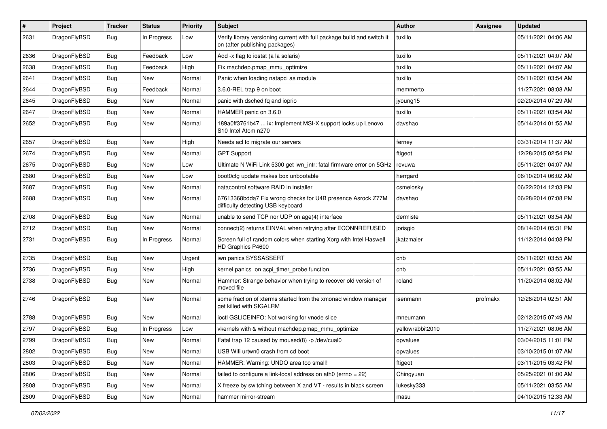| $\sharp$ | Project      | <b>Tracker</b> | <b>Status</b> | <b>Priority</b> | Subject                                                                                                   | Author           | Assignee | <b>Updated</b>      |
|----------|--------------|----------------|---------------|-----------------|-----------------------------------------------------------------------------------------------------------|------------------|----------|---------------------|
| 2631     | DragonFlyBSD | Bug            | In Progress   | Low             | Verify library versioning current with full package build and switch it<br>on (after publishing packages) | tuxillo          |          | 05/11/2021 04:06 AM |
| 2636     | DragonFlyBSD | Bug            | Feedback      | Low             | Add -x flag to iostat (a la solaris)                                                                      | tuxillo          |          | 05/11/2021 04:07 AM |
| 2638     | DragonFlyBSD | <b>Bug</b>     | Feedback      | High            | Fix machdep.pmap mmu optimize                                                                             | tuxillo          |          | 05/11/2021 04:07 AM |
| 2641     | DragonFlyBSD | Bug            | <b>New</b>    | Normal          | Panic when loading natapci as module                                                                      | tuxillo          |          | 05/11/2021 03:54 AM |
| 2644     | DragonFlyBSD | <b>Bug</b>     | Feedback      | Normal          | 3.6.0-REL trap 9 on boot                                                                                  | memmerto         |          | 11/27/2021 08:08 AM |
| 2645     | DragonFlyBSD | <b>Bug</b>     | <b>New</b>    | Normal          | panic with dsched fq and ioprio                                                                           | jyoung15         |          | 02/20/2014 07:29 AM |
| 2647     | DragonFlyBSD | <b>Bug</b>     | New           | Normal          | HAMMER panic on 3.6.0                                                                                     | tuxillo          |          | 05/11/2021 03:54 AM |
| 2652     | DragonFlyBSD | Bug            | New           | Normal          | 189a0ff3761b47  ix: Implement MSI-X support locks up Lenovo<br>S10 Intel Atom n270                        | davshao          |          | 05/14/2014 01:55 AM |
| 2657     | DragonFlyBSD | Bug            | <b>New</b>    | High            | Needs acl to migrate our servers                                                                          | ferney           |          | 03/31/2014 11:37 AM |
| 2674     | DragonFlyBSD | <b>Bug</b>     | New           | Normal          | <b>GPT Support</b>                                                                                        | ftigeot          |          | 12/28/2015 02:54 PM |
| 2675     | DragonFlyBSD | <b>Bug</b>     | <b>New</b>    | Low             | Ultimate N WiFi Link 5300 get iwn_intr: fatal firmware error on 5GHz                                      | revuwa           |          | 05/11/2021 04:07 AM |
| 2680     | DragonFlyBSD | <b>Bug</b>     | <b>New</b>    | Low             | boot0cfg update makes box unbootable                                                                      | herrgard         |          | 06/10/2014 06:02 AM |
| 2687     | DragonFlyBSD | <b>Bug</b>     | <b>New</b>    | Normal          | natacontrol software RAID in installer                                                                    | csmelosky        |          | 06/22/2014 12:03 PM |
| 2688     | DragonFlyBSD | Bug            | New           | Normal          | 67613368bdda7 Fix wrong checks for U4B presence Asrock Z77M<br>difficulty detecting USB keyboard          | davshao          |          | 06/28/2014 07:08 PM |
| 2708     | DragonFlyBSD | Bug            | <b>New</b>    | Normal          | unable to send TCP nor UDP on age(4) interface                                                            | dermiste         |          | 05/11/2021 03:54 AM |
| 2712     | DragonFlyBSD | <b>Bug</b>     | <b>New</b>    | Normal          | connect(2) returns EINVAL when retrying after ECONNREFUSED                                                | jorisgio         |          | 08/14/2014 05:31 PM |
| 2731     | DragonFlyBSD | <b>Bug</b>     | In Progress   | Normal          | Screen full of random colors when starting Xorg with Intel Haswell<br>HD Graphics P4600                   | jkatzmaier       |          | 11/12/2014 04:08 PM |
| 2735     | DragonFlyBSD | <b>Bug</b>     | <b>New</b>    | Urgent          | iwn panics SYSSASSERT                                                                                     | cnb              |          | 05/11/2021 03:55 AM |
| 2736     | DragonFlyBSD | <b>Bug</b>     | <b>New</b>    | High            | kernel panics on acpi_timer_probe function                                                                | cnb              |          | 05/11/2021 03:55 AM |
| 2738     | DragonFlyBSD | <b>Bug</b>     | New           | Normal          | Hammer: Strange behavior when trying to recover old version of<br>moved file                              | roland           |          | 11/20/2014 08:02 AM |
| 2746     | DragonFlyBSD | <b>Bug</b>     | <b>New</b>    | Normal          | some fraction of xterms started from the xmonad window manager<br>get killed with SIGALRM                 | isenmann         | profmakx | 12/28/2014 02:51 AM |
| 2788     | DragonFlyBSD | <b>Bug</b>     | <b>New</b>    | Normal          | ioctl GSLICEINFO: Not working for vnode slice                                                             | mneumann         |          | 02/12/2015 07:49 AM |
| 2797     | DragonFlyBSD | Bug            | In Progress   | Low             | vkernels with & without machdep.pmap_mmu_optimize                                                         | yellowrabbit2010 |          | 11/27/2021 08:06 AM |
| 2799     | DragonFlyBSD | <b>Bug</b>     | <b>New</b>    | Normal          | Fatal trap 12 caused by moused(8) -p/dev/cual0                                                            | opvalues         |          | 03/04/2015 11:01 PM |
| 2802     | DragonFlyBSD | Bug            | New           | Normal          | USB Wifi urtwn0 crash from cd boot                                                                        | opvalues         |          | 03/10/2015 01:07 AM |
| 2803     | DragonFlyBSD | Bug            | New           | Normal          | HAMMER: Warning: UNDO area too small!                                                                     | ftigeot          |          | 03/11/2015 03:42 PM |
| 2806     | DragonFlyBSD | <b>Bug</b>     | New           | Normal          | failed to configure a link-local address on ath0 (errno = 22)                                             | Chingyuan        |          | 05/25/2021 01:00 AM |
| 2808     | DragonFlyBSD | <b>Bug</b>     | New           | Normal          | X freeze by switching between X and VT - results in black screen                                          | lukesky333       |          | 05/11/2021 03:55 AM |
| 2809     | DragonFlyBSD | <b>Bug</b>     | New           | Normal          | hammer mirror-stream                                                                                      | masu             |          | 04/10/2015 12:33 AM |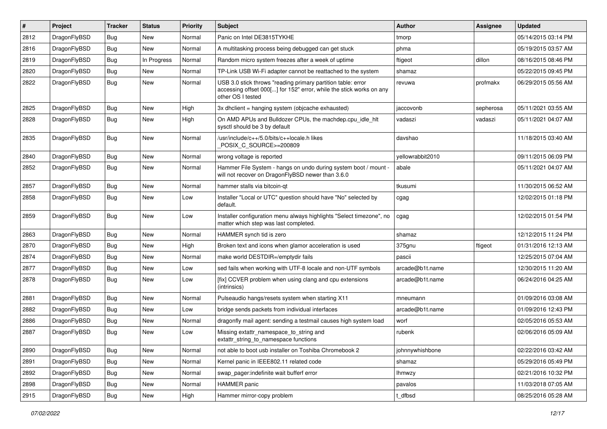| #    | Project      | <b>Tracker</b> | <b>Status</b> | <b>Priority</b> | Subject                                                                                                                                                  | Author           | <b>Assignee</b> | <b>Updated</b>      |
|------|--------------|----------------|---------------|-----------------|----------------------------------------------------------------------------------------------------------------------------------------------------------|------------------|-----------------|---------------------|
| 2812 | DragonFlyBSD | Bug            | <b>New</b>    | Normal          | Panic on Intel DE3815TYKHE                                                                                                                               | tmorp            |                 | 05/14/2015 03:14 PM |
| 2816 | DragonFlyBSD | <b>Bug</b>     | <b>New</b>    | Normal          | A multitasking process being debugged can get stuck                                                                                                      | phma             |                 | 05/19/2015 03:57 AM |
| 2819 | DragonFlyBSD | Bug            | In Progress   | Normal          | Random micro system freezes after a week of uptime                                                                                                       | ftigeot          | dillon          | 08/16/2015 08:46 PM |
| 2820 | DragonFlyBSD | Bug            | New           | Normal          | TP-Link USB Wi-Fi adapter cannot be reattached to the system                                                                                             | shamaz           |                 | 05/22/2015 09:45 PM |
| 2822 | DragonFlyBSD | Bug            | <b>New</b>    | Normal          | USB 3.0 stick throws "reading primary partition table: error<br>accessing offset 000[] for 152" error, while the stick works on any<br>other OS I tested | revuwa           | profmakx        | 06/29/2015 05:56 AM |
| 2825 | DragonFlyBSD | Bug            | New           | High            | 3x dhclient = hanging system (objcache exhausted)                                                                                                        | jaccovonb        | sepherosa       | 05/11/2021 03:55 AM |
| 2828 | DragonFlyBSD | Bug            | New           | High            | On AMD APUs and Bulldozer CPUs, the machdep.cpu_idle_hlt<br>sysctl should be 3 by default                                                                | vadaszi          | vadaszi         | 05/11/2021 04:07 AM |
| 2835 | DragonFlyBSD | Bug            | New           | Normal          | /usr/include/c++/5.0/bits/c++locale.h likes<br>POSIX_C_SOURCE>=200809                                                                                    | davshao          |                 | 11/18/2015 03:40 AM |
| 2840 | DragonFlyBSD | Bug            | <b>New</b>    | Normal          | wrong voltage is reported                                                                                                                                | yellowrabbit2010 |                 | 09/11/2015 06:09 PM |
| 2852 | DragonFlyBSD | Bug            | New           | Normal          | Hammer File System - hangs on undo during system boot / mount -<br>will not recover on DragonFlyBSD newer than 3.6.0                                     | abale            |                 | 05/11/2021 04:07 AM |
| 2857 | DragonFlyBSD | Bug            | <b>New</b>    | Normal          | hammer stalls via bitcoin-gt                                                                                                                             | tkusumi          |                 | 11/30/2015 06:52 AM |
| 2858 | DragonFlyBSD | Bug            | <b>New</b>    | Low             | Installer "Local or UTC" question should have "No" selected by<br>default.                                                                               | cgag             |                 | 12/02/2015 01:18 PM |
| 2859 | DragonFlyBSD | Bug            | <b>New</b>    | Low             | Installer configuration menu always highlights "Select timezone", no<br>matter which step was last completed.                                            | cgag             |                 | 12/02/2015 01:54 PM |
| 2863 | DragonFlyBSD | Bug            | New           | Normal          | HAMMER synch tid is zero                                                                                                                                 | shamaz           |                 | 12/12/2015 11:24 PM |
| 2870 | DragonFlyBSD | Bug            | New           | High            | Broken text and icons when glamor acceleration is used                                                                                                   | 375gnu           | ftigeot         | 01/31/2016 12:13 AM |
| 2874 | DragonFlyBSD | Bug            | <b>New</b>    | Normal          | make world DESTDIR=/emptydir fails                                                                                                                       | pascii           |                 | 12/25/2015 07:04 AM |
| 2877 | DragonFlyBSD | Bug            | New           | Low             | sed fails when working with UTF-8 locale and non-UTF symbols                                                                                             | arcade@b1t.name  |                 | 12/30/2015 11:20 AM |
| 2878 | DragonFlyBSD | Bug            | <b>New</b>    | Low             | [fix] CCVER problem when using clang and cpu extensions<br>(intrinsics)                                                                                  | arcade@b1t.name  |                 | 06/24/2016 04:25 AM |
| 2881 | DragonFlyBSD | <b>Bug</b>     | <b>New</b>    | Normal          | Pulseaudio hangs/resets system when starting X11                                                                                                         | mneumann         |                 | 01/09/2016 03:08 AM |
| 2882 | DragonFlyBSD | Bug            | New           | Low             | bridge sends packets from individual interfaces                                                                                                          | arcade@b1t.name  |                 | 01/09/2016 12:43 PM |
| 2886 | DragonFlyBSD | Bug            | New           | Normal          | dragonfly mail agent: sending a testmail causes high system load                                                                                         | worf             |                 | 02/05/2016 05:53 AM |
| 2887 | DragonFlyBSD | Bug            | New           | Low             | Missing extattr_namespace_to_string and<br>extattr_string_to_namespace functions                                                                         | rubenk           |                 | 02/06/2016 05:09 AM |
| 2890 | DragonFlyBSD | <b>Bug</b>     | <b>New</b>    | Normal          | not able to boot usb installer on Toshiba Chromebook 2                                                                                                   | johnnywhishbone  |                 | 02/22/2016 03:42 AM |
| 2891 | DragonFlyBSD | Bug            | New           | Normal          | Kernel panic in IEEE802.11 related code                                                                                                                  | shamaz           |                 | 05/29/2016 05:49 PM |
| 2892 | DragonFlyBSD | <b>Bug</b>     | <b>New</b>    | Normal          | swap_pager:indefinite wait bufferf error                                                                                                                 | Ihmwzy           |                 | 02/21/2016 10:32 PM |
| 2898 | DragonFlyBSD | <b>Bug</b>     | New           | Normal          | HAMMER panic                                                                                                                                             | pavalos          |                 | 11/03/2018 07:05 AM |
| 2915 | DragonFlyBSD | <b>Bug</b>     | New           | High            | Hammer mirror-copy problem                                                                                                                               | t_dfbsd          |                 | 08/25/2016 05:28 AM |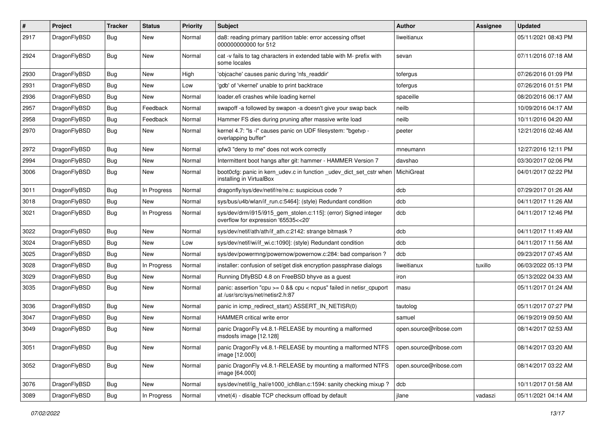| #    | Project      | <b>Tracker</b> | <b>Status</b> | <b>Priority</b> | Subject                                                                                                 | <b>Author</b>          | Assignee | <b>Updated</b>      |
|------|--------------|----------------|---------------|-----------------|---------------------------------------------------------------------------------------------------------|------------------------|----------|---------------------|
| 2917 | DragonFlyBSD | Bug            | <b>New</b>    | Normal          | da8: reading primary partition table: error accessing offset<br>000000000000 for 512                    | liweitianux            |          | 05/11/2021 08:43 PM |
| 2924 | DragonFlyBSD | <b>Bug</b>     | <b>New</b>    | Normal          | cat -v fails to tag characters in extended table with M- prefix with<br>some locales                    | sevan                  |          | 07/11/2016 07:18 AM |
| 2930 | DragonFlyBSD | Bug            | <b>New</b>    | High            | 'objcache' causes panic during 'nfs_readdir'                                                            | tofergus               |          | 07/26/2016 01:09 PM |
| 2931 | DragonFlyBSD | <b>Bug</b>     | New           | Low             | 'gdb' of 'vkernel' unable to print backtrace                                                            | tofergus               |          | 07/26/2016 01:51 PM |
| 2936 | DragonFlyBSD | <b>Bug</b>     | <b>New</b>    | Normal          | loader.efi crashes while loading kernel                                                                 | spaceille              |          | 08/20/2016 06:17 AM |
| 2957 | DragonFlyBSD | <b>Bug</b>     | Feedback      | Normal          | swapoff -a followed by swapon -a doesn't give your swap back                                            | neilb                  |          | 10/09/2016 04:17 AM |
| 2958 | DragonFlyBSD | <b>Bug</b>     | Feedback      | Normal          | Hammer FS dies during pruning after massive write load                                                  | neilb                  |          | 10/11/2016 04:20 AM |
| 2970 | DragonFlyBSD | <b>Bug</b>     | New           | Normal          | kernel 4.7: "Is -I" causes panic on UDF filesystem: "bgetvp -<br>overlapping buffer"                    | peeter                 |          | 12/21/2016 02:46 AM |
| 2972 | DragonFlyBSD | <b>Bug</b>     | <b>New</b>    | Normal          | ipfw3 "deny to me" does not work correctly                                                              | mneumann               |          | 12/27/2016 12:11 PM |
| 2994 | DragonFlyBSD | <b>Bug</b>     | <b>New</b>    | Normal          | Intermittent boot hangs after git: hammer - HAMMER Version 7                                            | davshao                |          | 03/30/2017 02:06 PM |
| 3006 | DragonFlyBSD | <b>Bug</b>     | New           | Normal          | boot0cfg: panic in kern udev.c in function udev dict set cstr when<br>installing in VirtualBox          | MichiGreat             |          | 04/01/2017 02:22 PM |
| 3011 | DragonFlyBSD | <b>Bug</b>     | In Progress   | Normal          | dragonfly/sys/dev/netif/re/re.c: suspicious code?                                                       | dcb                    |          | 07/29/2017 01:26 AM |
| 3018 | DragonFlyBSD | <b>Bug</b>     | New           | Normal          | sys/bus/u4b/wlan/if_run.c:5464]: (style) Redundant condition                                            | dcb                    |          | 04/11/2017 11:26 AM |
| 3021 | DragonFlyBSD | Bug            | In Progress   | Normal          | sys/dev/drm/i915/i915_gem_stolen.c:115]: (error) Signed integer<br>overflow for expression '65535<<20'  | dcb                    |          | 04/11/2017 12:46 PM |
| 3022 | DragonFlyBSD | <b>Bug</b>     | <b>New</b>    | Normal          | sys/dev/netif/ath/ath/if ath.c:2142: strange bitmask?                                                   | dcb                    |          | 04/11/2017 11:49 AM |
| 3024 | DragonFlyBSD | <b>Bug</b>     | <b>New</b>    | Low             | sys/dev/netif/wi/if_wi.c:1090]: (style) Redundant condition                                             | dcb                    |          | 04/11/2017 11:56 AM |
| 3025 | DragonFlyBSD | <b>Bug</b>     | New           | Normal          | sys/dev/powermng/powernow/powernow.c:284: bad comparison?                                               | dcb                    |          | 09/23/2017 07:45 AM |
| 3028 | DragonFlyBSD | <b>Bug</b>     | In Progress   | Normal          | installer: confusion of set/get disk encryption passphrase dialogs                                      | liweitianux            | tuxillo  | 06/03/2022 05:13 PM |
| 3029 | DragonFlyBSD | <b>Bug</b>     | New           | Normal          | Running DflyBSD 4.8 on FreeBSD bhyve as a guest                                                         | iron                   |          | 05/13/2022 04:33 AM |
| 3035 | DragonFlyBSD | <b>Bug</b>     | New           | Normal          | panic: assertion "cpu >= 0 && cpu < ncpus" failed in netisr_cpuport<br>at /usr/src/sys/net/netisr2.h:87 | masu                   |          | 05/11/2017 01:24 AM |
| 3036 | DragonFlyBSD | <b>Bug</b>     | <b>New</b>    | Normal          | panic in icmp_redirect_start() ASSERT_IN_NETISR(0)                                                      | tautolog               |          | 05/11/2017 07:27 PM |
| 3047 | DragonFlyBSD | <b>Bug</b>     | <b>New</b>    | Normal          | <b>HAMMER critical write error</b>                                                                      | samuel                 |          | 06/19/2019 09:50 AM |
| 3049 | DragonFlyBSD | <b>Bug</b>     | <b>New</b>    | Normal          | panic DragonFly v4.8.1-RELEASE by mounting a malformed<br>msdosfs image [12.128]                        | open.source@ribose.com |          | 08/14/2017 02:53 AM |
| 3051 | DragonFlyBSD | <b>Bug</b>     | New           | Normal          | panic DragonFly v4.8.1-RELEASE by mounting a malformed NTFS<br>image [12.000]                           | open.source@ribose.com |          | 08/14/2017 03:20 AM |
| 3052 | DragonFlyBSD | <b>Bug</b>     | New           | Normal          | panic DragonFly v4.8.1-RELEASE by mounting a malformed NTFS<br>image [64.000]                           | open.source@ribose.com |          | 08/14/2017 03:22 AM |
| 3076 | DragonFlyBSD | Bug            | New           | Normal          | sys/dev/netif/ig hal/e1000 ich8lan.c:1594: sanity checking mixup?                                       | dcb                    |          | 10/11/2017 01:58 AM |
| 3089 | DragonFlyBSD | <b>Bug</b>     | In Progress   | Normal          | vtnet(4) - disable TCP checksum offload by default                                                      | jlane                  | vadaszi  | 05/11/2021 04:14 AM |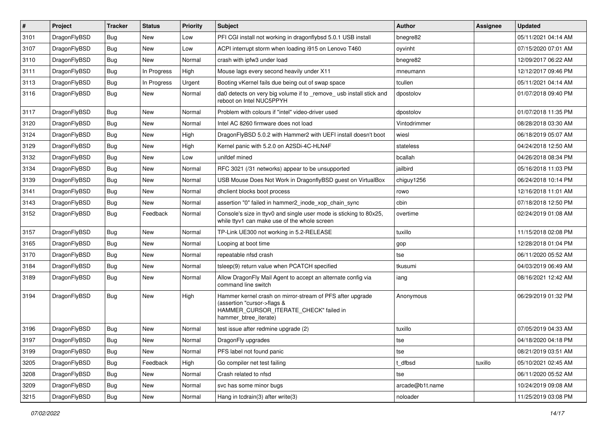| $\vert$ # | Project      | <b>Tracker</b> | <b>Status</b> | <b>Priority</b> | Subject                                                                                                                                                     | Author          | Assignee | <b>Updated</b>      |
|-----------|--------------|----------------|---------------|-----------------|-------------------------------------------------------------------------------------------------------------------------------------------------------------|-----------------|----------|---------------------|
| 3101      | DragonFlyBSD | Bug            | <b>New</b>    | Low             | PFI CGI install not working in dragonflybsd 5.0.1 USB install                                                                                               | bnegre82        |          | 05/11/2021 04:14 AM |
| 3107      | DragonFlyBSD | <b>Bug</b>     | <b>New</b>    | Low             | ACPI interrupt storm when loading i915 on Lenovo T460                                                                                                       | oyvinht         |          | 07/15/2020 07:01 AM |
| 3110      | DragonFlyBSD | <b>Bug</b>     | New           | Normal          | crash with ipfw3 under load                                                                                                                                 | bnegre82        |          | 12/09/2017 06:22 AM |
| 3111      | DragonFlyBSD | Bug            | In Progress   | High            | Mouse lags every second heavily under X11                                                                                                                   | mneumann        |          | 12/12/2017 09:46 PM |
| 3113      | DragonFlyBSD | Bug            | In Progress   | Urgent          | Booting vKernel fails due being out of swap space                                                                                                           | tcullen         |          | 05/11/2021 04:14 AM |
| 3116      | DragonFlyBSD | <b>Bug</b>     | New           | Normal          | da0 detects on very big volume if to _remove_usb install stick and<br>reboot on Intel NUC5PPYH                                                              | dpostolov       |          | 01/07/2018 09:40 PM |
| 3117      | DragonFlyBSD | Bug            | New           | Normal          | Problem with colours if "intel" video-driver used                                                                                                           | dpostolov       |          | 01/07/2018 11:35 PM |
| 3120      | DragonFlyBSD | Bug            | <b>New</b>    | Normal          | Intel AC 8260 firmware does not load                                                                                                                        | Vintodrimmer    |          | 08/28/2018 03:30 AM |
| 3124      | DragonFlyBSD | Bug            | <b>New</b>    | High            | DragonFlyBSD 5.0.2 with Hammer2 with UEFI install doesn't boot                                                                                              | wiesl           |          | 06/18/2019 05:07 AM |
| 3129      | DragonFlyBSD | Bug            | New           | High            | Kernel panic with 5.2.0 on A2SDi-4C-HLN4F                                                                                                                   | stateless       |          | 04/24/2018 12:50 AM |
| 3132      | DragonFlyBSD | Bug            | <b>New</b>    | Low             | unifdef mined                                                                                                                                               | bcallah         |          | 04/26/2018 08:34 PM |
| 3134      | DragonFlyBSD | <b>Bug</b>     | New           | Normal          | RFC 3021 (/31 networks) appear to be unsupported                                                                                                            | jailbird        |          | 05/16/2018 11:03 PM |
| 3139      | DragonFlyBSD | Bug            | New           | Normal          | USB Mouse Does Not Work in DragonflyBSD guest on VirtualBox                                                                                                 | chiguy1256      |          | 06/24/2018 10:14 PM |
| 3141      | DragonFlyBSD | <b>Bug</b>     | <b>New</b>    | Normal          | dhclient blocks boot process                                                                                                                                | rowo            |          | 12/16/2018 11:01 AM |
| 3143      | DragonFlyBSD | <b>Bug</b>     | New           | Normal          | assertion "0" failed in hammer2 inode xop chain sync                                                                                                        | cbin            |          | 07/18/2018 12:50 PM |
| 3152      | DragonFlyBSD | Bug            | Feedback      | Normal          | Console's size in ttyv0 and single user mode is sticking to 80x25,<br>while ttyv1 can make use of the whole screen                                          | overtime        |          | 02/24/2019 01:08 AM |
| 3157      | DragonFlyBSD | <b>Bug</b>     | New           | Normal          | TP-Link UE300 not working in 5.2-RELEASE                                                                                                                    | tuxillo         |          | 11/15/2018 02:08 PM |
| 3165      | DragonFlyBSD | Bug            | <b>New</b>    | Normal          | Looping at boot time                                                                                                                                        | gop             |          | 12/28/2018 01:04 PM |
| 3170      | DragonFlyBSD | <b>Bug</b>     | New           | Normal          | repeatable nfsd crash                                                                                                                                       | tse             |          | 06/11/2020 05:52 AM |
| 3184      | DragonFlyBSD | Bug            | <b>New</b>    | Normal          | tsleep(9) return value when PCATCH specified                                                                                                                | tkusumi         |          | 04/03/2019 06:49 AM |
| 3189      | DragonFlyBSD | Bug            | New           | Normal          | Allow DragonFly Mail Agent to accept an alternate config via<br>command line switch                                                                         | iang            |          | 08/16/2021 12:42 AM |
| 3194      | DragonFlyBSD | Bug            | New           | High            | Hammer kernel crash on mirror-stream of PFS after upgrade<br>(assertion "cursor->flags &<br>HAMMER_CURSOR_ITERATE_CHECK" failed in<br>hammer_btree_iterate) | Anonymous       |          | 06/29/2019 01:32 PM |
| 3196      | DragonFlyBSD | <b>Bug</b>     | <b>New</b>    | Normal          | test issue after redmine upgrade (2)                                                                                                                        | tuxillo         |          | 07/05/2019 04:33 AM |
| 3197      | DragonFlyBSD | Bug            | <b>New</b>    | Normal          | DragonFly upgrades                                                                                                                                          | tse             |          | 04/18/2020 04:18 PM |
| 3199      | DragonFlyBSD | Bug            | New           | Normal          | PFS label not found panic                                                                                                                                   | tse             |          | 08/21/2019 03:51 AM |
| 3205      | DragonFlyBSD | <b>Bug</b>     | Feedback      | High            | Go compiler net test failing                                                                                                                                | t dfbsd         | tuxillo  | 05/10/2021 02:45 AM |
| 3208      | DragonFlyBSD | <b>Bug</b>     | New           | Normal          | Crash related to nfsd                                                                                                                                       | tse             |          | 06/11/2020 05:52 AM |
| 3209      | DragonFlyBSD | Bug            | New           | Normal          | svc has some minor bugs                                                                                                                                     | arcade@b1t.name |          | 10/24/2019 09:08 AM |
| 3215      | DragonFlyBSD | <b>Bug</b>     | New           | Normal          | Hang in tcdrain(3) after write(3)                                                                                                                           | noloader        |          | 11/25/2019 03:08 PM |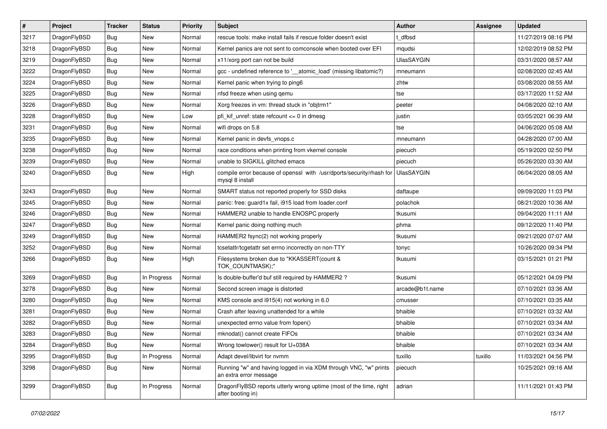| $\sharp$ | Project      | <b>Tracker</b> | <b>Status</b> | <b>Priority</b> | Subject                                                                                    | Author            | Assignee | <b>Updated</b>      |
|----------|--------------|----------------|---------------|-----------------|--------------------------------------------------------------------------------------------|-------------------|----------|---------------------|
| 3217     | DragonFlyBSD | <b>Bug</b>     | New           | Normal          | rescue tools: make install fails if rescue folder doesn't exist                            | t dfbsd           |          | 11/27/2019 08:16 PM |
| 3218     | DragonFlyBSD | Bug            | New           | Normal          | Kernel panics are not sent to comconsole when booted over EFI                              | mqudsi            |          | 12/02/2019 08:52 PM |
| 3219     | DragonFlyBSD | <b>Bug</b>     | New           | Normal          | x11/xorg port can not be build                                                             | <b>UlasSAYGIN</b> |          | 03/31/2020 08:57 AM |
| 3222     | DragonFlyBSD | <b>Bug</b>     | New           | Normal          | gcc - undefined reference to ' atomic load' (missing libatomic?)                           | mneumann          |          | 02/08/2020 02:45 AM |
| 3224     | DragonFlyBSD | Bug            | <b>New</b>    | Normal          | Kernel panic when trying to ping6                                                          | zhtw              |          | 03/08/2020 08:55 AM |
| 3225     | DragonFlyBSD | Bug            | <b>New</b>    | Normal          | nfsd freeze when using gemu                                                                | tse               |          | 03/17/2020 11:52 AM |
| 3226     | DragonFlyBSD | Bug            | New           | Normal          | Xorg freezes in vm: thread stuck in "objtrm1"                                              | peeter            |          | 04/08/2020 02:10 AM |
| 3228     | DragonFlyBSD | <b>Bug</b>     | New           | Low             | pfi kif unref: state refcount $\leq$ 0 in dmesg                                            | justin            |          | 03/05/2021 06:39 AM |
| 3231     | DragonFlyBSD | <b>Bug</b>     | New           | Normal          | wifi drops on 5.8                                                                          | tse               |          | 04/06/2020 05:08 AM |
| 3235     | DragonFlyBSD | Bug            | <b>New</b>    | Normal          | Kernel panic in devfs_vnops.c                                                              | mneumann          |          | 04/28/2020 07:00 AM |
| 3238     | DragonFlyBSD | <b>Bug</b>     | New           | Normal          | race conditions when printing from vkernel console                                         | piecuch           |          | 05/19/2020 02:50 PM |
| 3239     | DragonFlyBSD | Bug            | New           | Normal          | unable to SIGKILL glitched emacs                                                           | piecuch           |          | 05/26/2020 03:30 AM |
| 3240     | DragonFlyBSD | <b>Bug</b>     | New           | High            | compile error because of openssl with /usr/dports/security/rhash for<br>mysql 8 install    | <b>UlasSAYGIN</b> |          | 06/04/2020 08:05 AM |
| 3243     | DragonFlyBSD | Bug            | New           | Normal          | SMART status not reported properly for SSD disks                                           | daftaupe          |          | 09/09/2020 11:03 PM |
| 3245     | DragonFlyBSD | <b>Bug</b>     | <b>New</b>    | Normal          | panic: free: guard1x fail, i915 load from loader.conf                                      | polachok          |          | 08/21/2020 10:36 AM |
| 3246     | DragonFlyBSD | Bug            | <b>New</b>    | Normal          | HAMMER2 unable to handle ENOSPC properly                                                   | tkusumi           |          | 09/04/2020 11:11 AM |
| 3247     | DragonFlyBSD | <b>Bug</b>     | <b>New</b>    | Normal          | Kernel panic doing nothing much                                                            | phma              |          | 09/12/2020 11:40 PM |
| 3249     | DragonFlyBSD | <b>Bug</b>     | New           | Normal          | HAMMER2 fsync(2) not working properly                                                      | tkusumi           |          | 09/21/2020 07:07 AM |
| 3252     | DragonFlyBSD | <b>Bug</b>     | <b>New</b>    | Normal          | tcsetattr/tcgetattr set errno incorrectly on non-TTY                                       | tonyc             |          | 10/26/2020 09:34 PM |
| 3266     | DragonFlyBSD | Bug            | New           | High            | Filesystems broken due to "KKASSERT(count &<br>TOK_COUNTMASK);"                            | tkusumi           |          | 03/15/2021 01:21 PM |
| 3269     | DragonFlyBSD | Bug            | In Progress   | Normal          | Is double-buffer'd buf still required by HAMMER2 ?                                         | tkusumi           |          | 05/12/2021 04:09 PM |
| 3278     | DragonFlyBSD | <b>Bug</b>     | <b>New</b>    | Normal          | Second screen image is distorted                                                           | arcade@b1t.name   |          | 07/10/2021 03:36 AM |
| 3280     | DragonFlyBSD | Bug            | New           | Normal          | KMS console and i915(4) not working in 6.0                                                 | cmusser           |          | 07/10/2021 03:35 AM |
| 3281     | DragonFlyBSD | <b>Bug</b>     | New           | Normal          | Crash after leaving unattended for a while                                                 | bhaible           |          | 07/10/2021 03:32 AM |
| 3282     | DragonFlyBSD | <b>Bug</b>     | <b>New</b>    | Normal          | unexpected errno value from fopen()                                                        | bhaible           |          | 07/10/2021 03:34 AM |
| 3283     | DragonFlyBSD | Bug            | New           | Normal          | mknodat() cannot create FIFOs                                                              | bhaible           |          | 07/10/2021 03:34 AM |
| 3284     | DragonFlyBSD | <b>Bug</b>     | New           | Normal          | Wrong towlower() result for U+038A                                                         | bhaible           |          | 07/10/2021 03:34 AM |
| 3295     | DragonFlyBSD | Bug            | In Progress   | Normal          | Adapt devel/libvirt for nvmm                                                               | tuxillo           | tuxillo  | 11/03/2021 04:56 PM |
| 3298     | DragonFlyBSD | <b>Bug</b>     | New           | Normal          | Running "w" and having logged in via XDM through VNC, "w" prints<br>an extra error message | piecuch           |          | 10/25/2021 09:16 AM |
| 3299     | DragonFlyBSD | <b>Bug</b>     | In Progress   | Normal          | DragonFlyBSD reports utterly wrong uptime (most of the time, right<br>after booting in)    | adrian            |          | 11/11/2021 01:43 PM |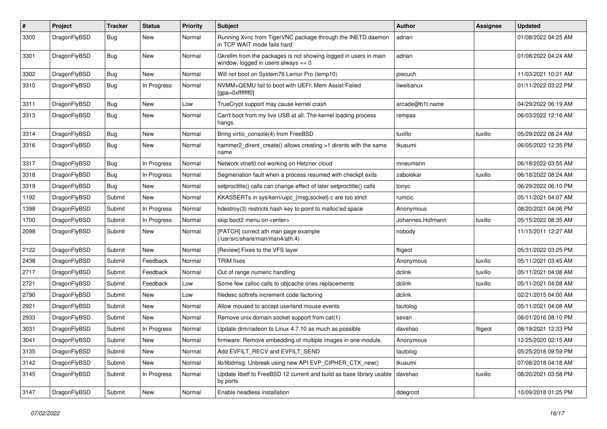| $\#$ | Project      | <b>Tracker</b> | <b>Status</b> | <b>Priority</b> | Subject                                                                                                   | <b>Author</b>    | Assignee | <b>Updated</b>      |
|------|--------------|----------------|---------------|-----------------|-----------------------------------------------------------------------------------------------------------|------------------|----------|---------------------|
| 3300 | DragonFlyBSD | <b>Bug</b>     | New           | Normal          | Running Xvnc from TigerVNC package through the INETD daemon<br>in TCP WAIT mode fails hard                | adrian           |          | 01/08/2022 04:25 AM |
| 3301 | DragonFlyBSD | Bug            | New           | Normal          | Gkrellm from the packages is not showing logged in users in main<br>window, logged in users always $== 0$ | adrian           |          | 01/08/2022 04:24 AM |
| 3302 | DragonFlyBSD | Bug            | <b>New</b>    | Normal          | Will not boot on System76 Lemur Pro (lemp10)                                                              | piecuch          |          | 11/03/2021 10:21 AM |
| 3310 | DragonFlyBSD | <b>Bug</b>     | In Progress   | Normal          | NVMM+QEMU fail to boot with UEFI: Mem Assist Failed<br>[gpa=0xfffffff0]                                   | liweitianux      |          | 01/11/2022 03:22 PM |
| 3311 | DragonFlyBSD | Bug            | <b>New</b>    | Low             | TrueCrypt support may cause kernel crash                                                                  | arcade@b1t.name  |          | 04/29/2022 06:19 AM |
| 3313 | DragonFlyBSD | <b>Bug</b>     | New           | Normal          | Can't boot from my live USB at all. The kernel loading process<br>hangs.                                  | rempas           |          | 06/03/2022 12:16 AM |
| 3314 | DragonFlyBSD | <b>Bug</b>     | New           | Normal          | Bring virtio console(4) from FreeBSD                                                                      | tuxillo          | tuxillo  | 05/29/2022 08:24 AM |
| 3316 | DragonFlyBSD | <b>Bug</b>     | New           | Normal          | hammer2_dirent_create() allows creating >1 dirents with the same<br>name                                  | tkusumi          |          | 06/05/2022 12:35 PM |
| 3317 | DragonFlyBSD | <b>Bug</b>     | In Progress   | Normal          | Network vtnet0 not working on Hetzner cloud                                                               | mneumann         |          | 06/18/2022 03:55 AM |
| 3318 | DragonFlyBSD | <b>Bug</b>     | In Progress   | Normal          | Segmenation fault when a process resumed with checkpt exits                                               | zabolekar        | tuxillo  | 06/18/2022 08:24 AM |
| 3319 | DragonFlyBSD | <b>Bug</b>     | New           | Normal          | setproctitle() calls can change effect of later setproctitle() calls                                      | tonyc            |          | 06/29/2022 06:10 PM |
| 1192 | DragonFlyBSD | Submit         | New           | Normal          | KKASSERTs in sys/kern/uipc_{msg,socket}.c are too strict                                                  | rumcic           |          | 05/11/2021 04:07 AM |
| 1398 | DragonFlyBSD | Submit         | In Progress   | Normal          | hdestroy(3) restricts hash key to point to malloc'ed space                                                | Anonymous        |          | 08/20/2021 04:06 PM |
| 1700 | DragonFlyBSD | Submit         | In Progress   | Normal          | skip boot2 menu on <enter></enter>                                                                        | Johannes.Hofmann | tuxillo  | 05/15/2022 08:35 AM |
| 2098 | DragonFlyBSD | Submit         | New           | Normal          | [PATCH] correct ath man page example<br>(/usr/src/share/man/man4/ath.4)                                   | nobody           |          | 11/15/2011 12:27 AM |
| 2122 | DragonFlyBSD | Submit         | New           | Normal          | [Review] Fixes to the VFS layer                                                                           | ftigeot          |          | 05/31/2022 03:25 PM |
| 2438 | DragonFlyBSD | Submit         | Feedback      | Normal          | <b>TRIM</b> fixes                                                                                         | Anonymous        | tuxillo  | 05/11/2021 03:45 AM |
| 2717 | DragonFlyBSD | Submit         | Feedback      | Normal          | Out of range numeric handling                                                                             | dclink           | tuxillo  | 05/11/2021 04:08 AM |
| 2721 | DragonFlyBSD | Submit         | Feedback      | Low             | Some few zalloc calls to objcache ones replacements                                                       | dclink           | tuxillo  | 05/11/2021 04:08 AM |
| 2790 | DragonFlyBSD | Submit         | New           | Low             | filedesc softrefs increment code factoring                                                                | dclink           |          | 02/21/2015 04:00 AM |
| 2921 | DragonFlyBSD | Submit         | New           | Normal          | Allow moused to accept userland mouse events                                                              | tautolog         |          | 05/11/2021 04:08 AM |
| 2933 | DragonFlyBSD | Submit         | <b>New</b>    | Normal          | Remove unix domain socket support from cat(1)                                                             | sevan            |          | 08/01/2016 08:10 PM |
| 3031 | DragonFlyBSD | Submit         | In Progress   | Normal          | Update drm/radeon to Linux 4.7.10 as much as possible                                                     | davshao          | ftigeot  | 08/19/2021 12:33 PM |
| 3041 | DragonFlyBSD | Submit         | <b>New</b>    | Normal          | firmware: Remove embedding of multiple images in one module.                                              | Anonymous        |          | 12/25/2020 02:15 AM |
| 3135 | DragonFlyBSD | Submit         | New           | Normal          | Add EVFILT_RECV and EVFILT_SEND                                                                           | tautolog         |          | 05/25/2018 09:59 PM |
| 3142 | DragonFlyBSD | Submit         | New           | Normal          | lib/libdmsg: Unbreak using new API EVP_CIPHER_CTX_new()                                                   | tkusumi          |          | 07/08/2018 04:18 AM |
| 3145 | DragonFlyBSD | Submit         | In Progress   | Normal          | Update libelf to FreeBSD 12 current and build as base library usable<br>by ports                          | davshao          | tuxillo  | 08/20/2021 03:58 PM |
| 3147 | DragonFlyBSD | Submit         | New           | Normal          | Enable headless installation                                                                              | ddegroot         |          | 10/09/2018 01:25 PM |